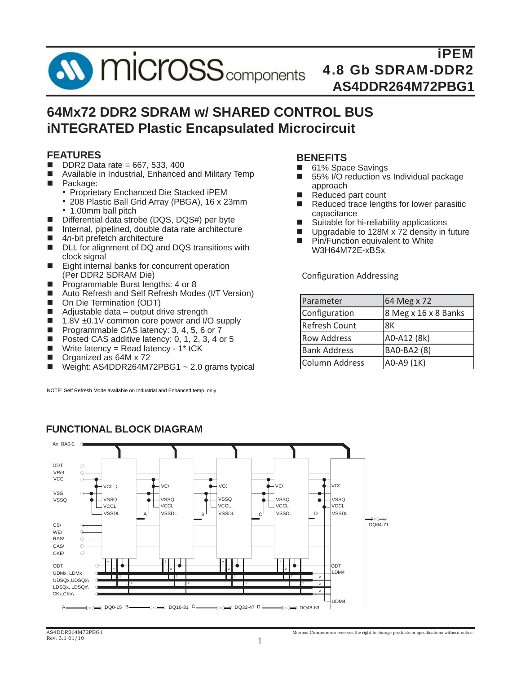

## **64Mx72 DDR2 SDRAM w/ SHARED CONTROL BUS iNTEGRATED Plastic Encapsulated Microcircuit**

#### **FEATURES**

- $\blacksquare$  DDR2 Data rate = 667, 533, 400
- Available in Industrial, Enhanced and Military Temp
- **Package:** 
	- Proprietary Enchanced Die Stacked iPEM
		- 208 Plastic Ball Grid Array (PBGA), 16 x 23mm • 1.00mm ball pitch
	- Differential data strobe (DQS, DQS#) per byte
- Internal, pipelined, double data rate architecture
- 4*n*-bit prefetch architecture
- DLL for alignment of DQ and DQS transitions with clock signal
- Eight internal banks for concurrent operation (Per DDR2 SDRAM Die)
- **Programmable Burst lengths: 4 or 8**
- Auto Refresh and Self Refresh Modes (I/T Version)
- On Die Termination (ODT)
- $\blacksquare$  Adjustable data output drive strength
- $\blacksquare$  1.8V  $\pm$ 0.1V common core power and I/O supply
- Programmable CAS latency: 3, 4, 5, 6 or 7
- Posted CAS additive latency: 0, 1, 2, 3, 4 or 5
- Write latency = Read latency  $1^*$  tCK
- Organized as 64M x 72
- Weight: AS4DDR264M72PBG1 ~ 2.0 grams typical

NOTE: Self Refresh Mode available on Industrial and Enhanced temp. only

#### **BENEFITS**

- 61% Space Savings<br>■ 55% I/O reduction vs
- 55% I/O reduction vs Individual package approach
- Reduced part count
- Reduced trace lengths for lower parasitic capacitance
- Suitable for hi-reliability applications
- **Upgradable to 128M x 72 density in future**
- **Pin/Function equivalent to White** W3H64M72E-xBSx

Configuration Addressing

| Parameter            | 64 Meg x 72          |
|----------------------|----------------------|
| Configuration        | 8 Meg x 16 x 8 Banks |
| <b>Refresh Count</b> | 8K                   |
| <b>Row Address</b>   | A0-A12 (8k)          |
| <b>Bank Address</b>  | <b>BAO-BA2 (8)</b>   |
| Column Address       | A0-A9 (1K)           |



#### **FUNCTIONAL BLOCK DIAGRAM**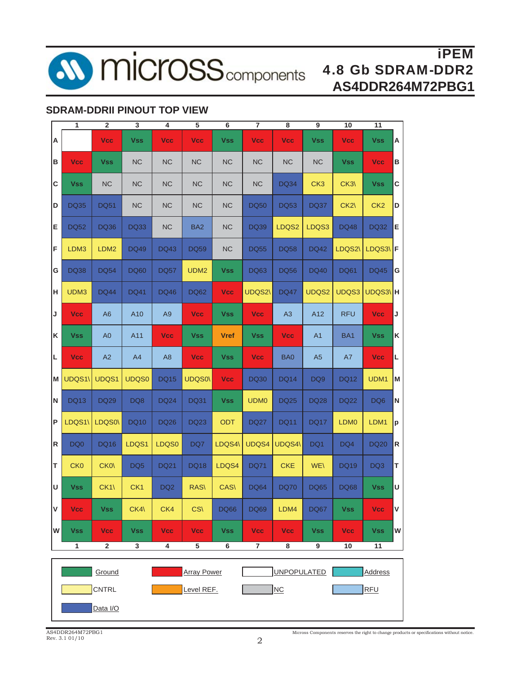

**10 micross** components

## iPEM 4.8 Gb SDRAM-DDR2 **AS4DDR264M72PBG1**

#### **SDRAM-DDRII PINOUT TOP VIEW**

|   | 1               | $\overline{\mathbf{2}}$ | 3               | 4               | 5                  | 6              | 7              | 8                  | 9               | 10               | 11              |    |
|---|-----------------|-------------------------|-----------------|-----------------|--------------------|----------------|----------------|--------------------|-----------------|------------------|-----------------|----|
| Α |                 | <b>Vcc</b>              | <b>Vss</b>      | <b>Vcc</b>      | <b>Vcc</b>         | <b>Vss</b>     | <b>Vcc</b>     | <b>Vcc</b>         | <b>Vss</b>      | <b>Vcc</b>       | <b>Vss</b>      | Α  |
| в | <b>Vcc</b>      | <b>Vss</b>              | <b>NC</b>       | <b>NC</b>       | <b>NC</b>          | <b>NC</b>      | <b>NC</b>      | NC                 | <b>NC</b>       | <b>Vss</b>       | <b>Vcc</b>      | в  |
| C | <b>Vss</b>      | <b>NC</b>               | <b>NC</b>       | <b>NC</b>       | <b>NC</b>          | <b>NC</b>      | <b>NC</b>      | <b>DQ34</b>        | CK <sub>3</sub> | CK3              | <b>Vss</b>      | C  |
| D | <b>DQ35</b>     | <b>DQ51</b>             | NC              | <b>NC</b>       | <b>NC</b>          | <b>NC</b>      | <b>DQ50</b>    | <b>DQ53</b>        | <b>DQ37</b>     | CK2              | CK <sub>2</sub> | D  |
| Ε | <b>DQ52</b>     | <b>DQ36</b>             | <b>DQ33</b>     | <b>NC</b>       | BA <sub>2</sub>    | <b>NC</b>      | <b>DQ39</b>    | LDQS2              | LDQS3           | <b>DQ48</b>      | <b>DQ32</b>     | E  |
| F | LDM3            | LDM2                    | <b>DQ49</b>     | <b>DQ43</b>     | DQ59               | <b>NC</b>      | <b>DQ55</b>    | <b>DQ58</b>        | <b>DQ42</b>     | LDQS2\           | LDQS3\F         |    |
| G | <b>DQ38</b>     | <b>DQ54</b>             | <b>DQ60</b>     | <b>DQ57</b>     | UDM <sub>2</sub>   | <b>Vss</b>     | <b>DQ63</b>    | <b>DQ56</b>        | <b>DQ40</b>     | <b>DQ61</b>      | <b>DQ45</b>     | G  |
| н | UDM3            | <b>DQ44</b>             | <b>DQ41</b>     | DQ46            | <b>DQ62</b>        | <b>Vcc</b>     | <b>UDQS2\</b>  | <b>DQ47</b>        | UDQS2           | UDQS3            | UDQS3\H         |    |
| J | <b>Vcc</b>      | A <sub>6</sub>          | A10             | A <sub>9</sub>  | <b>Vcc</b>         | <b>Vss</b>     | <b>Vcc</b>     | A3                 | A12             | <b>RFU</b>       | <b>Vcc</b>      | J  |
| K | <b>Vss</b>      | A <sub>0</sub>          | A11             | <b>Vcc</b>      | <b>Vss</b>         | <b>Vref</b>    | <b>Vss</b>     | <b>Vcc</b>         | A <sub>1</sub>  | BA <sub>1</sub>  | <b>Vss</b>      | K  |
| L | <b>Vcc</b>      | A2                      | A4              | A <sub>8</sub>  | <b>Vcc</b>         | <b>Vss</b>     | <b>Vcc</b>     | BA0                | A <sub>5</sub>  | A7               | <b>Vcc</b>      | Г  |
| M | UDQS1\          | UDQS1                   | UDQS0           | DQ15            | <b>UDQS0\</b>      | <b>Vcc</b>     | <b>DQ30</b>    | <b>DQ14</b>        | DQ <sub>9</sub> | DQ12             | UDM1            | Iм |
| N | <b>DQ13</b>     | <b>DQ29</b>             | DQ8             | <b>DQ24</b>     | <b>DQ31</b>        | <b>Vss</b>     | <b>UDM0</b>    | <b>DQ25</b>        | <b>DQ28</b>     | DQ22             | DQ <sub>6</sub> | N  |
| P | LDQS1\          | LDQS0\                  | <b>DQ10</b>     | <b>DQ26</b>     | <b>DQ23</b>        | ODT            | <b>DQ27</b>    | <b>DQ11</b>        | <b>DQ17</b>     | LDM <sub>0</sub> | LDM1            | lр |
| R | DQ <sub>0</sub> | <b>DQ16</b>             | LDQS1           | LDQS0           | DQ7                | LDQS4\         | UDQS4          | UDQS4\             | DQ1             | DQ4              | <b>DQ20</b>     | R  |
| т | <b>CK0</b>      | CK <sub>0</sub>         | DQ <sub>5</sub> | <b>DQ21</b>     | <b>DQ18</b>        | LDQS4          | <b>DQ71</b>    | <b>CKE</b>         | <b>WE\</b>      | <b>DQ19</b>      | DQ3             | т  |
| U | <b>Vss</b>      | CK1                     | CK <sub>1</sub> | DQ <sub>2</sub> | RAS\               | CAS\           | <b>DQ64</b>    | <b>DQ70</b>        | <b>DQ65</b>     | <b>DQ68</b>      | <b>Vss</b>      | U  |
| V | <b>Vcc</b>      | <b>Vss</b>              | CK4\            | CK4             | CS(                | <b>DQ66</b>    | <b>DQ69</b>    | LDM4               | <b>DQ67</b>     | <b>Vss</b>       | Vcc             | V  |
| W | <b>Vss</b>      | <b>Vcc</b>              | <b>Vss</b>      | <b>Vcc</b>      | Vcc                | <b>Vss</b>     | Vcc            | Vcc                | <b>Vss</b>      | Vcc              | <b>Vss</b>      | W  |
|   | 1               | $\mathbf 2$             | $\overline{3}$  | 4               | $\overline{5}$     | $\overline{6}$ | $\overline{7}$ | 8                  | 9               | 10               | $\overline{11}$ |    |
|   |                 | Ground                  |                 |                 | <b>Array Power</b> |                |                | <b>UNPOPULATED</b> |                 |                  | <b>Address</b>  |    |
|   |                 | CNTRL                   |                 |                 | Level REF.         |                |                | NC                 |                 |                  | <b>RFU</b>      |    |
|   |                 | Data I/O                |                 |                 |                    |                |                |                    |                 |                  |                 |    |
|   |                 |                         |                 |                 |                    |                |                |                    |                 |                  |                 |    |

Micross Components reserves the right to change products or specifications without notice.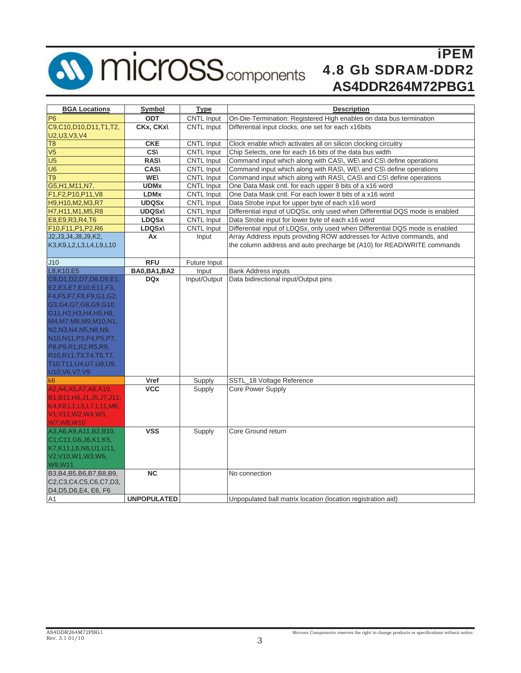

# **10 micross** components

## iPEM 4.8 Gb SDRAM-DDR2 **AS4DDR264M72PBG1**

| <b>BGA Locations</b>                                                                                    | Symbol                  | <b>Type</b>       | <b>Description</b>                                                           |
|---------------------------------------------------------------------------------------------------------|-------------------------|-------------------|------------------------------------------------------------------------------|
| <b>P6</b>                                                                                               | ODT                     | <b>CNTL Input</b> | On-Die-Termination: Registered High enables on data bus termination          |
| C9,C10,D10,D11,T1,T2,<br>U2, U3, V3, V4                                                                 | CKx, CKx\               | <b>CNTL Input</b> | Differential input clocks, one set for each x16bits                          |
| T <sub>8</sub>                                                                                          | <b>CKE</b>              | CNTL Input        | Clock enable which activates all on silicon clocking circuitry               |
| V <sub>5</sub>                                                                                          | CS\                     | CNTL Input        | Chip Selects, one for each 16 bits of the data bus width                     |
| $\overline{U5}$                                                                                         | <b>RAS\</b>             | CNTL Input        | Command input which along with CAS\, WE\ and CS\ define operations           |
| U <sub>6</sub>                                                                                          | <b>CAS\</b>             | CNTL Input        | Command input which along with RAS\, WE\ and CS\ define operations           |
| $\overline{T9}$                                                                                         | <b>WE\</b>              | CNTL Input        | Command input which along with RAS\, CAS\ and CS\ define operations          |
| G5, H1, M11, N7,                                                                                        | <b>UDMx</b>             | CNTL Input        | One Data Mask cntl. for each upper 8 bits of a x16 word                      |
| F1,F2,P10,P11,V8                                                                                        | <b>LDM<sub>x</sub></b>  | CNTL Input        | One Data Mask cntl. For each lower 8 bits of a x16 word                      |
| H9, H10, M2, M3, R7                                                                                     | <b>UDQSx</b>            | CNTL Input        | Data Strobe input for upper byte of each x16 word                            |
| H7, H11, M1, M5, R8                                                                                     | <b>UDQSx\</b>           | <b>CNTL Input</b> | Differential input of UDQSx, only used when Differential DQS mode is enabled |
| E8, E9, R3, R4, T6                                                                                      | <b>LDQSx</b>            | <b>CNTL Input</b> | Data Strobe input for lower byte of each x16 word                            |
| F10,F11,P1,P2,R6                                                                                        | LDQSx\                  | <b>CNTL Input</b> | Differential input of LDQSx, only used when Differential DQS mode is enabled |
| J2, J3, J4, J8, J9, K2,                                                                                 | Ax                      | Input             | Array Address inputs providing ROW addresses for Active commands, and        |
| K3, K9, L2, L3, L4, L9, L10                                                                             |                         |                   | the column address and auto precharge bit (A10) for READ/WRITE commands      |
|                                                                                                         |                         |                   |                                                                              |
| J10                                                                                                     | <b>RFU</b>              | Future Input      |                                                                              |
| L8, K10, E5                                                                                             | <b>BA0, BA1, BA2</b>    | Input             | <b>Bank Address inputs</b>                                                   |
| C8,D1,D2,D7,D8,D9,E1,                                                                                   | <b>DQx</b>              | Input/Output      | Data bidirectional input/Output pins                                         |
| E2, E3, E7, E10, E11, F3,                                                                               |                         |                   |                                                                              |
| F4, F5, F7, F8, F9, G1, G2,                                                                             |                         |                   |                                                                              |
| G3, G4, G7, G8, G9, G10,                                                                                |                         |                   |                                                                              |
| G11, H2, H3, H4, H5, H8,                                                                                |                         |                   |                                                                              |
| M4, M7, M8, M9, M10, N1,                                                                                |                         |                   |                                                                              |
| N2, N3, N4, N5, N8, N9,                                                                                 |                         |                   |                                                                              |
| N <sub>10</sub> , N <sub>11</sub> , P <sub>3</sub> , P <sub>4</sub> , P <sub>5</sub> , P <sub>7</sub> , |                         |                   |                                                                              |
| P8, P9, R1, R2, R5, R9,                                                                                 |                         |                   |                                                                              |
| R10, R11, T3, T4, T5, T7,                                                                               |                         |                   |                                                                              |
| T10, T11, U4, U7, U8, U9,                                                                               |                         |                   |                                                                              |
| U10, V6, V7, V9                                                                                         |                         |                   |                                                                              |
| lk6.                                                                                                    | <b>Vref</b>             | Supply            | SSTL_18 Voltage Reference                                                    |
| A2, A4, A5, A7, A8, A10,                                                                                | <b>VCC</b>              | Supply            | <b>Core Power Supply</b>                                                     |
| B1, B11, H6, J1, J5, J7, J11,                                                                           |                         |                   |                                                                              |
| K4, K8, L1, L5, L7, L11, M6,                                                                            |                         |                   |                                                                              |
| V1, V11, W2, W4, W5,                                                                                    |                         |                   |                                                                              |
| W7, W8, W10                                                                                             |                         |                   |                                                                              |
| A3, A6, A9, A11, B2, B10,                                                                               | $\overline{\text{VSS}}$ | Supply            | Core Ground return                                                           |
| C1,C11,G6,J6,K1,K5,                                                                                     |                         |                   |                                                                              |
| K7,K11,L6,N6,U1,U11,                                                                                    |                         |                   |                                                                              |
| V2,V10,W1,W3,W6,                                                                                        |                         |                   |                                                                              |
| W9, W11                                                                                                 |                         |                   |                                                                              |
| B3, B4, B5, B6, B7, B8, B9,                                                                             | <b>NC</b>               |                   | No connection                                                                |
| C2,C3,C4,C5,C6,C7,D3,                                                                                   |                         |                   |                                                                              |
| D4, D5, D6, E4, E6, F6                                                                                  |                         |                   |                                                                              |
| A1                                                                                                      | <b>UNPOPULATED</b>      |                   | Unpopulated ball matrix location (location registration aid)                 |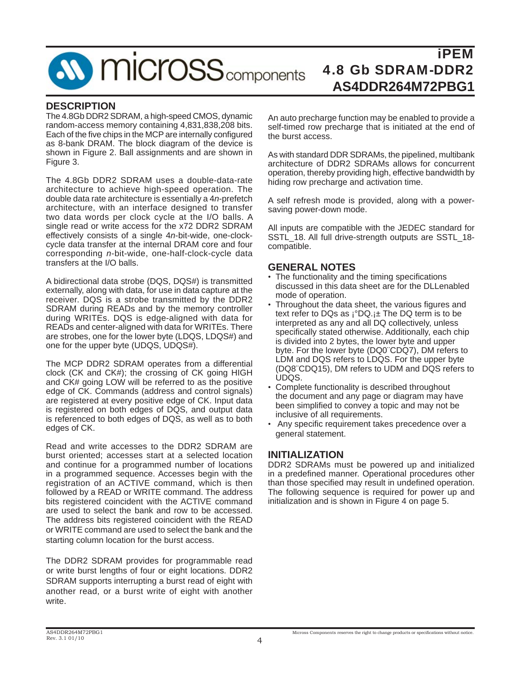## **SV MICroSS** components

## iPEM 4.8 Gb SDRAM-DDR2 **AS4DDR264M72PBG1**

#### **DESCRIPTION**

The 4.8Gb DDR2 SDRAM, a high-speed CMOS, dynamic random-access memory containing 4,831,838,208 bits. Each of the five chips in the MCP are internally configured as 8-bank DRAM. The block diagram of the device is shown in Figure 2. Ball assignments and are shown in Figure 3.

The 4.8Gb DDR2 SDRAM uses a double-data-rate architecture to achieve high-speed operation. The double data rate architecture is essentially a 4*n*-prefetch architecture, with an interface designed to transfer two data words per clock cycle at the I/O balls. A single read or write access for the x72 DDR2 SDRAM effectively consists of a single 4*n*-bit-wide, one-clockcycle data transfer at the internal DRAM core and four corresponding *n*-bit-wide, one-half-clock-cycle data transfers at the I/O balls.

A bidirectional data strobe (DQS, DQS#) is transmitted externally, along with data, for use in data capture at the receiver. DQS is a strobe transmitted by the DDR2 SDRAM during READs and by the memory controller during WRITEs. DQS is edge-aligned with data for READs and center-aligned with data for WRITEs. There are strobes, one for the lower byte (LDQS, LDQS#) and one for the upper byte (UDQS, UDQS#).

The MCP DDR2 SDRAM operates from a differential clock (CK and CK#); the crossing of CK going HIGH and CK# going LOW will be referred to as the positive edge of CK. Commands (address and control signals) are registered at every positive edge of CK. Input data is registered on both edges of DQS, and output data is referenced to both edges of DQS, as well as to both edges of CK.

Read and write accesses to the DDR2 SDRAM are burst oriented; accesses start at a selected location and continue for a programmed number of locations in a programmed sequence. Accesses begin with the registration of an ACTIVE command, which is then followed by a READ or WRITE command. The address bits registered coincident with the ACTIVE command are used to select the bank and row to be accessed. The address bits registered coincident with the READ or WRITE command are used to select the bank and the starting column location for the burst access.

The DDR2 SDRAM provides for programmable read or write burst lengths of four or eight locations. DDR2 SDRAM supports interrupting a burst read of eight with another read, or a burst write of eight with another write.

An auto precharge function may be enabled to provide a self-timed row precharge that is initiated at the end of the burst access.

As with standard DDR SDRAMs, the pipelined, multibank architecture of DDR2 SDRAMs allows for concurrent operation, thereby providing high, effective bandwidth by hiding row precharge and activation time.

A self refresh mode is provided, along with a powersaving power-down mode.

All inputs are compatible with the JEDEC standard for SSTL\_18. All full drive-strength outputs are SSTL\_18 compatible.

#### **GENERAL NOTES**

- The functionality and the timing specifications discussed in this data sheet are for the DLLenabled mode of operation.
- Throughout the data sheet, the various figures and text refer to DQs as  $i^{\circ}DQ_{i}+$  The DQ term is to be interpreted as any and all DQ collectively, unless specifically stated otherwise. Additionally, each chip is divided into 2 bytes, the lower byte and upper byte. For the lower byte (DQ0¨CDQ7), DM refers to LDM and DQS refers to LDQS. For the upper byte (DQ8¨CDQ15), DM refers to UDM and DQS refers to UDQS.
- Complete functionality is described throughout the document and any page or diagram may have been simplified to convey a topic and may not be inclusive of all requirements.
- Any specific requirement takes precedence over a general statement.

#### **INITIALIZATION**

DDR2 SDRAMs must be powered up and initialized in a predefined manner. Operational procedures other than those specified may result in undefined operation. The following sequence is required for power up and initialization and is shown in Figure 4 on page 5.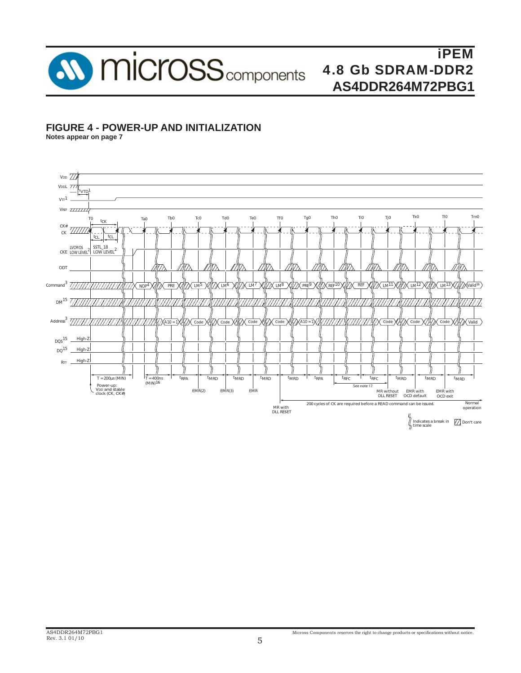

#### **FIGURE 4 - POWER-UP AND INITIALIZATION**

**Notes appear on page 7**

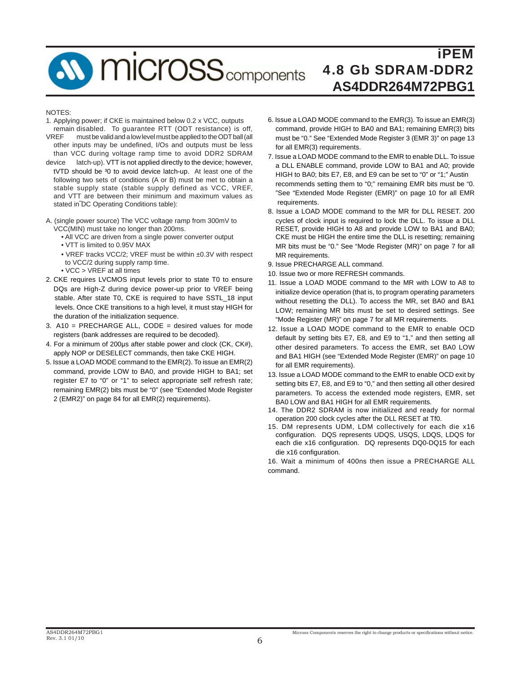## **W** micross<sub>components</sub>

## iPEM 4.8 Gb SDRAM-DDR2 **AS4DDR264M72PBG1**

#### **NOTES:**

- 1. Applying power; if CKE is maintained below 0.2 x VCC, outputs remain disabled. To guarantee RTT (ODT resistance) is off,
- VREF must be valid and a low level must be applied to the ODT ball (all other inputs may be undefined, I/Os and outputs must be less than VCC during voltage ramp time to avoid DDR2 SDRAM
- device latch-up). VTT is not applied directly to the device; however, tVTD should be <sup>3</sup>0 to avoid device latch-up. At least one of the following two sets of conditions (A or B) must be met to obtain a stable supply state (stable supply defined as VCC, VREF, and VTT are between their minimum and maximum values as stated in DC Operating Conditions table):
- A. (single power source) The VCC voltage ramp from 300mV to VCC(MIN) must take no longer than 200ms.
	- All VCC are driven from a single power converter output
	- VTT is limited to 0.95V MAX
	- VREF tracks VCC/2; VREF must be within ±0.3V with respect to VCC/2 during supply ramp time.
	- VCC > VREF at all times
- 2. CKE requires LVCMOS input levels prior to state T0 to ensure DQs are High-Z during device power-up prior to VREF being stable. After state T0, CKE is required to have SSTL\_18 input levels. Once CKE transitions to a high level, it must stay HIGH for the duration of the initialization sequence.
- 3. A10 = PRECHARGE ALL, CODE = desired values for mode registers (bank addresses are required to be decoded).
- 4. For a minimum of 200μs after stable power and clock (CK, CK#), apply NOP or DESELECT commands, then take CKE HIGH.
- 5. Issue a LOAD MODE command to the EMR(2). To issue an EMR(2) command, provide LOW to BA0, and provide HIGH to BA1; set register E7 to "0" or "1" to select appropriate self refresh rate; remaining EMR(2) bits must be "0" (see "Extended Mode Register 2 (EMR2)" on page 84 for all EMR(2) requirements).
- 6. Issue a LOAD MODE command to the EMR(3). To issue an EMR(3) command, provide HIGH to BA0 and BA1; remaining EMR(3) bits must be "0." See "Extended Mode Register 3 (EMR 3)" on page 13 for all EMR(3) requirements.
- 7. Issue a LOAD MODE command to the EMR to enable DLL. To issue a DLL ENABLE command, provide LOW to BA1 and A0; provide HIGH to BA0; bits E7, E8, and E9 can be set to "0" or "1;" Austin recommends setting them to "0;" remaining EMR bits must be "0. "See "Extended Mode Register (EMR)" on page 10 for all EMR requirements.
- 8. Issue a LOAD MODE command to the MR for DLL RESET. 200 cycles of clock input is required to lock the DLL. To issue a DLL RESET, provide HIGH to A8 and provide LOW to BA1 and BA0; CKE must be HIGH the entire time the DLL is resetting; remaining MR bits must be "0." See "Mode Register (MR)" on page 7 for all MR requirements.
- 9. Issue PRECHARGE ALL command.
- 10. Issue two or more REFRESH commands.
- 11. Issue a LOAD MODE command to the MR with LOW to A8 to initialize device operation (that is, to program operating parameters without resetting the DLL). To access the MR, set BA0 and BA1 LOW; remaining MR bits must be set to desired settings. See "Mode Register (MR)" on page 7 for all MR requirements.
- 12. Issue a LOAD MODE command to the EMR to enable OCD default by setting bits E7, E8, and E9 to "1," and then setting all other desired parameters. To access the EMR, set BA0 LOW and BA1 HIGH (see "Extended Mode Register (EMR)" on page 10 for all EMR requirements).
- 13. Issue a LOAD MODE command to the EMR to enable OCD exit by setting bits E7, E8, and E9 to "0," and then setting all other desired parameters. To access the extended mode registers, EMR, set BA0 LOW and BA1 HIGH for all EMR requirements.
- 14. The DDR2 SDRAM is now initialized and ready for normal operation 200 clock cycles after the DLL RESET at Tf0.
- 15. DM represents UDM, LDM collectively for each die x16 configuration. DQS represents UDQS, USQS, LDQS, LDQS for each die x16 configuration. DQ represents DQ0-DQ15 for each die x16 configuration.

16. Wait a minimum of 400ns then issue a PRECHARGE ALL command.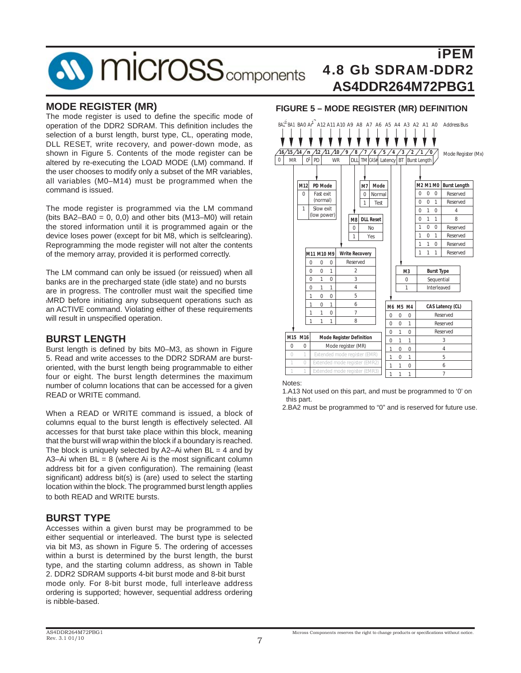## **SV MICroSS** components

## iPEM 4.8 Gb SDRAM-DDR2 **AS4DDR264M72PBG1**

#### **MODE REGISTER (MR)**

The mode register is used to define the specific mode of operation of the DDR2 SDRAM. This definition includes the selection of a burst length, burst type, CL, operating mode, DLL RESET, write recovery, and power-down mode, as shown in Figure 5. Contents of the mode register can be altered by re-executing the LOAD MODE (LM) command. If the user chooses to modify only a subset of the MR variables, all variables (M0–M14) must be programmed when the command is issued.

The mode register is programmed via the LM command (bits BA2–BA0 =  $0, 0, 0$ ) and other bits (M13–M0) will retain the stored information until it is programmed again or the device loses power (except for bit M8, which is selfclearing). Reprogramming the mode register will not alter the contents of the memory array, provided it is performed correctly.

The LM command can only be issued (or reissued) when all banks are in the precharged state (idle state) and no bursts are in progress. The controller must wait the specified time tMRD before initiating any subsequent operations such as an ACTIVE command. Violating either of these requirements will result in unspecified operation.

#### **BURST LENGTH**

Burst length is defined by bits M0–M3, as shown in Figure 5. Read and write accesses to the DDR2 SDRAM are burstoriented, with the burst length being programmable to either four or eight. The burst length determines the maximum number of column locations that can be accessed for a given READ or WRITE command.

When a READ or WRITE command is issued, a block of columns equal to the burst length is effectively selected. All accesses for that burst take place within this block, meaning that the burst will wrap within the block if a boundary is reached. The block is uniquely selected by  $A2-Ai$  when  $BL = 4$  and by A3–Ai when  $BL = 8$  (where Ai is the most significant column address bit for a given configuration). The remaining (least significant) address bit(s) is (are) used to select the starting location within the block. The programmed burst length applies to both READ and WRITE bursts.

#### **BURST TYPE**

Accesses within a given burst may be programmed to be either sequential or interleaved. The burst type is selected via bit M3, as shown in Figure 5. The ordering of accesses within a burst is determined by the burst length, the burst type, and the starting column address, as shown in Table 2. DDR2 SDRAM supports 4-bit burst mode and 8-bit burst mode only. For 8-bit burst mode, full interleave address ordering is supported; however, sequential address ordering is nibble-based.

#### **FIGURE 5 – MODE REGISTER (MR) DEFINITION**



Notes:

1.A13 Not used on this part, and must be programmed to '0' on this part.

2.BA2 must be programmed to "0" and is reserved for future use.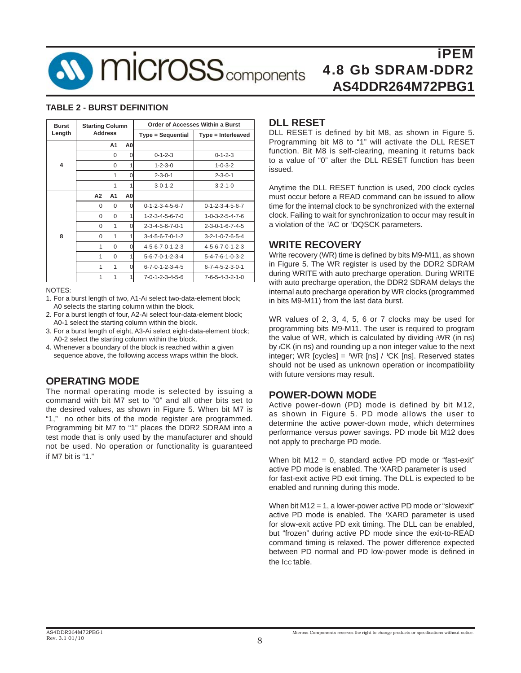

#### **TABLE 2 - BURST DEFINITION**

| <b>Burst</b>            | <b>Starting Column</b> |          |                |                                 | <b>Order of Accesses Within a Burst</b> |  |
|-------------------------|------------------------|----------|----------------|---------------------------------|-----------------------------------------|--|
| Length                  | <b>Address</b>         |          |                | Type = Sequential               | Type = Interleaved                      |  |
|                         |                        | A1       | A <sub>0</sub> |                                 |                                         |  |
|                         |                        | $\Omega$ | 0              | $0 - 1 - 2 - 3$                 | $0 - 1 - 2 - 3$                         |  |
| $\overline{\mathbf{A}}$ |                        | $\Omega$ |                | $1 - 2 - 3 - 0$                 | $1 - 0 - 3 - 2$                         |  |
|                         |                        | 1        | O              | $2 - 3 - 0 - 1$                 | $2 - 3 - 0 - 1$                         |  |
|                         |                        | 1        | 1              | $3 - 0 - 1 - 2$                 | $3 - 2 - 1 - 0$                         |  |
|                         | А2                     | A1       | A <sub>0</sub> |                                 |                                         |  |
|                         | 0                      | $\Omega$ | O              | $0 - 1 - 2 - 3 - 4 - 5 - 6 - 7$ | $0 - 1 - 2 - 3 - 4 - 5 - 6 - 7$         |  |
|                         | $\Omega$               | $\Omega$ |                | $1 - 2 - 3 - 4 - 5 - 6 - 7 - 0$ | $1 - 0 - 3 - 2 - 5 - 4 - 7 - 6$         |  |
|                         | $\Omega$               | 1        |                | $2 - 3 - 4 - 5 - 6 - 7 - 0 - 1$ | $2 - 3 - 0 - 1 - 6 - 7 - 4 - 5$         |  |
| 8                       | $\Omega$               | 1        |                | $3 - 4 - 5 - 6 - 7 - 0 - 1 - 2$ | $3 - 2 - 1 - 0 - 7 - 6 - 5 - 4$         |  |
|                         | 1                      | $\Omega$ | O              | $4 - 5 - 6 - 7 - 0 - 1 - 2 - 3$ | $4 - 5 - 6 - 7 - 0 - 1 - 2 - 3$         |  |
|                         | 1                      | $\Omega$ |                | $5 - 6 - 7 - 0 - 1 - 2 - 3 - 4$ | $5 - 4 - 7 - 6 - 1 - 0 - 3 - 2$         |  |
|                         | 1                      | 1        | O              | $6 - 7 - 0 - 1 - 2 - 3 - 4 - 5$ | $6 - 7 - 4 - 5 - 2 - 3 - 0 - 1$         |  |
|                         | 1                      | 1        |                | $7 - 0 - 1 - 2 - 3 - 4 - 5 - 6$ | $7 - 6 - 5 - 4 - 3 - 2 - 1 - 0$         |  |

#### NOTES:

- 1. For a burst length of two, A1-Ai select two-data-element block; A0 selects the starting column within the block.
- 2. For a burst length of four, A2-Ai select four-data-element block; A0-1 select the starting column within the block.
- 3. For a burst length of eight, A3-Ai select eight-data-element block; A0-2 select the starting column within the block.
- 4. Whenever a boundary of the block is reached within a given sequence above, the following access wraps within the block.

#### **OPERATING MODE**

The normal operating mode is selected by issuing a command with bit M7 set to "0" and all other bits set to the desired values, as shown in Figure 5. When bit M7 is "1," no other bits of the mode register are programmed. Programming bit M7 to "1" places the DDR2 SDRAM into a test mode that is only used by the manufacturer and should not be used. No operation or functionality is guaranteed if M7 bit is "1."

#### **DLL RESET**

DLL RESET is defined by bit M8, as shown in Figure 5. Programming bit M8 to "1" will activate the DLL RESET function. Bit M8 is self-clearing, meaning it returns back to a value of "0" after the DLL RESET function has been issued.

Anytime the DLL RESET function is used, 200 clock cycles must occur before a READ command can be issued to allow time for the internal clock to be synchronized with the external clock. Failing to wait for synchronization to occur may result in a violation of the 'AC or 'DQSCK parameters.

#### **WRITE RECOVERY**

Write recovery (WR) time is defined by bits M9-M11, as shown in Figure 5. The WR register is used by the DDR2 SDRAM during WRITE with auto precharge operation. During WRITE with auto precharge operation, the DDR2 SDRAM delays the internal auto precharge operation by WR clocks (programmed in bits M9-M11) from the last data burst.

WR values of 2, 3, 4, 5, 6 or 7 clocks may be used for programming bits M9-M11. The user is required to program the value of WR, which is calculated by dividing tWR (in ns) by tCK (in ns) and rounding up a non integer value to the next integer; WR [cycles] =  $WR$  [ns] /  $CK$  [ns]. Reserved states should not be used as unknown operation or incompatibility with future versions may result.

#### **POWER-DOWN MODE**

Active power-down (PD) mode is defined by bit M12, as shown in Figure 5. PD mode allows the user to determine the active power-down mode, which determines performance versus power savings. PD mode bit M12 does not apply to precharge PD mode.

When bit M12 = 0, standard active PD mode or "fast-exit" active PD mode is enabled. The 'XARD parameter is used for fast-exit active PD exit timing. The DLL is expected to be enabled and running during this mode.

When bit M12 = 1, a lower-power active PD mode or "slowexit" active PD mode is enabled. The 'XARD parameter is used for slow-exit active PD exit timing. The DLL can be enabled, but "frozen" during active PD mode since the exit-to-READ command timing is relaxed. The power difference expected between PD normal and PD low-power mode is defined in the ICC table.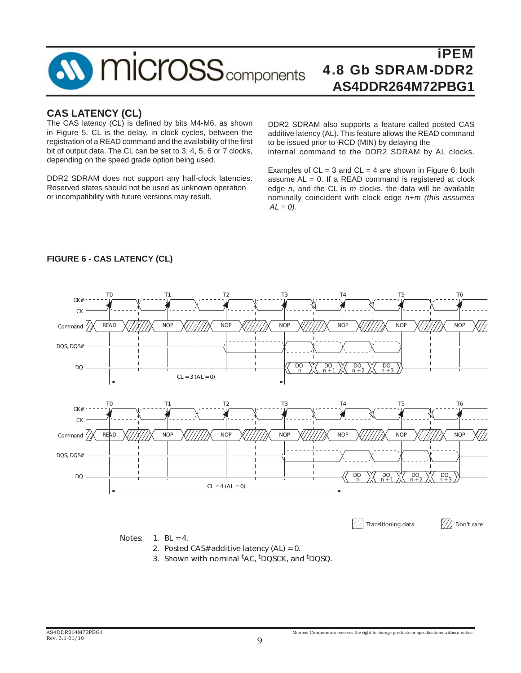

#### **CAS LATENCY (CL)**

The CAS latency (CL) is defined by bits M4-M6, as shown in Figure 5. CL is the delay, in clock cycles, between the registration of a READ command and the availability of the first bit of output data. The CL can be set to 3, 4, 5, 6 or 7 clocks, depending on the speed grade option being used.

DDR2 SDRAM does not support any half-clock latencies. Reserved states should not be used as unknown operation or incompatibility with future versions may result.

DDR2 SDRAM also supports a feature called posted CAS additive latency (AL). This feature allows the READ command to be issued prior to tRCD (MIN) by delaying the internal command to the DDR2 SDRAM by AL clocks.

Examples of  $CL = 3$  and  $CL = 4$  are shown in Figure 6; both assume  $AL = 0$ . If a READ command is registered at clock edge *n*, and the CL is *m* clocks, the data will be available nominally coincident with clock edge *n*+*m (this assumes*  $AL = 0$ ).



#### **FIGURE 6 - CAS LATENCY (CL)**

3. Shown with nominal <sup>t</sup>AC, <sup>t</sup>DQSCK, and <sup>t</sup>DQSQ.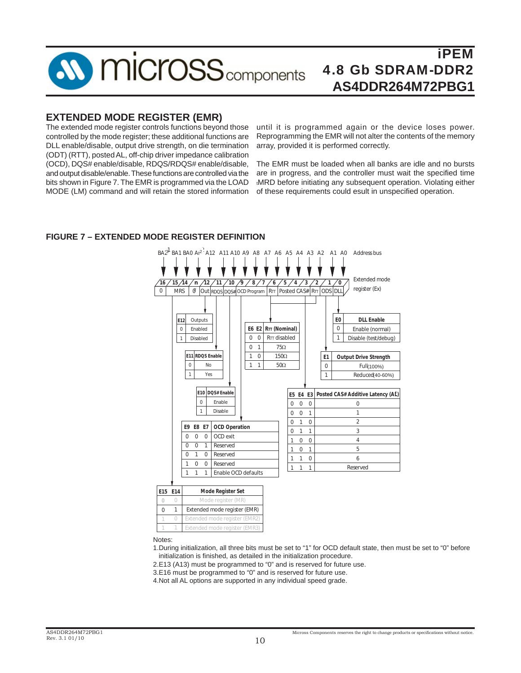

#### **EXTENDED MODE REGISTER (EMR)**

The extended mode register controls functions beyond those controlled by the mode register; these additional functions are DLL enable/disable, output drive strength, on die termination (ODT) (RTT), posted AL, off-chip driver impedance calibration (OCD), DQS# enable/disable, RDQS/RDQS# enable/disable, and output disable/enable. These functions are controlled via the bits shown in Figure 7. The EMR is programmed via the LOAD MODE (LM) command and will retain the stored information

until it is programmed again or the device loses power. Reprogramming the EMR will not alter the contents of the memory array, provided it is performed correctly.

The EMR must be loaded when all banks are idle and no bursts are in progress, and the controller must wait the specified time tMRD before initiating any subsequent operation. Violating either of these requirements could esult in unspecified operation.

#### **FIGURE 7 – EXTENDED MODE REGISTER DEFINITION**



|  | Mode reaister (MR)            |
|--|-------------------------------|
|  | Extended mode register (EMR)  |
|  | Extended mode register (EMR2) |
|  | Extended mode register (EMR3) |

Notes:

1.During initialization, all three bits must be set to "1" for OCD default state, then must be set to "0" before initialization is finished, as detailed in the initialization procedure.

2.E13 (A13) must be programmed to "0" and is reserved for future use.

3.E16 must be programmed to "0" and is reserved for future use.

4.Not all AL options are supported in any individual speed grade.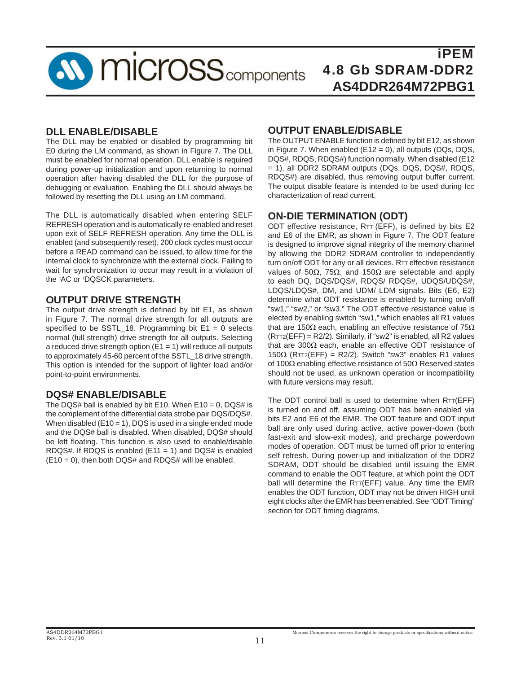

#### **DLL ENABLE/DISABLE**

The DLL may be enabled or disabled by programming bit E0 during the LM command, as shown in Figure 7. The DLL must be enabled for normal operation. DLL enable is required during power-up initialization and upon returning to normal operation after having disabled the DLL for the purpose of debugging or evaluation. Enabling the DLL should always be followed by resetting the DLL using an LM command.

The DLL is automatically disabled when entering SELF REFRESH operation and is automatically re-enabled and reset upon exit of SELF REFRESH operation. Any time the DLL is enabled (and subsequently reset), 200 clock cycles must occur before a READ command can be issued, to allow time for the internal clock to synchronize with the external clock. Failing to wait for synchronization to occur may result in a violation of the 'AC or 'DQSCK parameters.

#### **OUTPUT DRIVE STRENGTH**

The output drive strength is defined by bit E1, as shown in Figure 7. The normal drive strength for all outputs are specified to be SSTL 18. Programming bit  $E1 = 0$  selects normal (full strength) drive strength for all outputs. Selecting a reduced drive strength option  $(E1 = 1)$  will reduce all outputs to approximately 45-60 percent of the SSTL\_18 drive strength. This option is intended for the support of lighter load and/or point-to-point environments.

#### **DQS# ENABLE/DISABLE**

The DQS# ball is enabled by bit E10. When  $E10 = 0$ , DQS# is the complement of the differential data strobe pair DQS/DQS#. When disabled  $(E10 = 1)$ , DQS is used in a single ended mode and the DQS# ball is disabled. When disabled, DQS# should be left floating. This function is also used to enable/disable RDQS#. If RDQS is enabled  $(E11 = 1)$  and DQS# is enabled  $(E10 = 0)$ , then both DQS# and RDQS# will be enabled.

#### **OUTPUT ENABLE/DISABLE**

The OUTPUT ENABLE function is defined by bit E12, as shown in Figure 7. When enabled (E12 = 0), all outputs (DQs, DQS, DQS#, RDQS, RDQS#) function normally. When disabled (E12 = 1), all DDR2 SDRAM outputs (DQs, DQS, DQS#, RDQS, RDQS#) are disabled, thus removing output buffer current. The output disable feature is intended to be used during Icc characterization of read current.

#### **ON-DIE TERMINATION (ODT)**

ODT effective resistance,  $RTT$  (EFF), is defined by bits E2 and E6 of the EMR, as shown in Figure 7. The ODT feature is designed to improve signal integrity of the memory channel by allowing the DDR2 SDRAM controller to independently turn on/off ODT for any or all devices. RTT effective resistance values of 50 $Ω$ , 75 $Ω$ , and 150 $Ω$  are selectable and apply to each DQ, DQS/DQS#, RDQS/ RDQS#, UDQS/UDQS#, LDQS/LDQS#, DM, and UDM/ LDM signals. Bits (E6, E2) determine what ODT resistance is enabled by turning on/off "sw1," "sw2," or "sw3." The ODT effective resistance value is elected by enabling switch "sw1," which enables all R1 values that are 150Ω each, enabling an effective resistance of 75Ω (RTT2(EFF) = R2/2). Similarly, if "sw2" is enabled, all R2 values that are 300Ω each, enable an effective ODT resistance of 150 $\Omega$  (RTT2(EFF) = R2/2). Switch "sw3" enables R1 values of 100Ω enabling effective resistance of 50Ω Reserved states should not be used, as unknown operation or incompatibility with future versions may result.

The ODT control ball is used to determine when RTT(EFF) is turned on and off, assuming ODT has been enabled via bits E2 and E6 of the EMR. The ODT feature and ODT input ball are only used during active, active power-down (both fast-exit and slow-exit modes), and precharge powerdown modes of operation. ODT must be turned off prior to entering self refresh. During power-up and initialization of the DDR2 SDRAM, ODT should be disabled until issuing the EMR command to enable the ODT feature, at which point the ODT ball will determine the RTT(EFF) value. Any time the EMR enables the ODT function, ODT may not be driven HIGH until eight clocks after the EMR has been enabled. See "ODT Timing" section for ODT timing diagrams.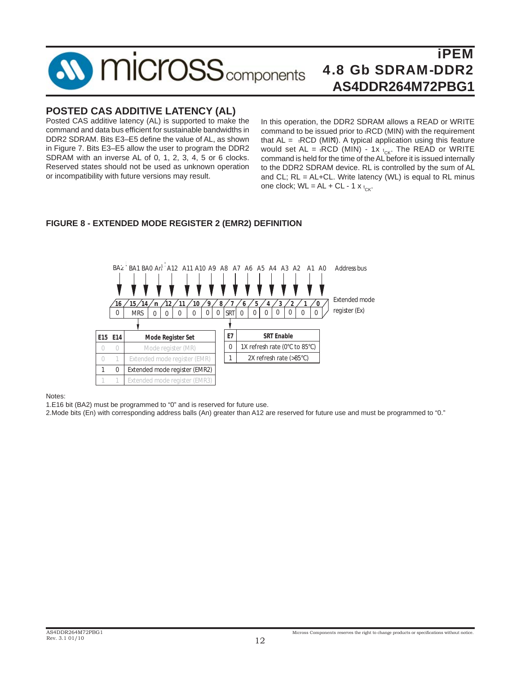#### iPEM **MICrOSS** components 4.8 Gb SDRAM-DDR2 **AS4DDR264M72PBG1**

#### **POSTED CAS ADDITIVE LATENCY (AL)**

Posted CAS additive latency (AL) is supported to make the command and data bus efficient for sustainable bandwidths in DDR2 SDRAM. Bits E3–E5 define the value of AL, as shown in Figure 7. Bits E3–E5 allow the user to program the DDR2 SDRAM with an inverse AL of 0, 1, 2, 3, 4, 5 or 6 clocks. Reserved states should not be used as unknown operation or incompatibility with future versions may result.

In this operation, the DDR2 SDRAM allows a READ or WRITE command to be issued prior to tRCD (MIN) with the requirement that  $AL = tRCD$  (MIN). A typical application using this feature would set AL =  $\epsilon$ RCD (MIN) - 1x  $\epsilon_{CK}$ . The READ or WRITE command is held for the time of the AL before it is issued internally to the DDR2 SDRAM device. RL is controlled by the sum of AL and CL;  $RL = AL+CL$ . Write latency (WL) is equal to RL minus one clock;  $WL = AL + CL - 1 x t_{CK}$ .

#### **FIGURE 8 - EXTENDED MODE REGISTER 2 (EMR2) DEFINITION**



Notes:

1.E16 bit (BA2) must be programmed to "0" and is reserved for future use.

2.Mode bits (En) with corresponding address balls (An) greater than A12 are reserved for future use and must be programmed to "0."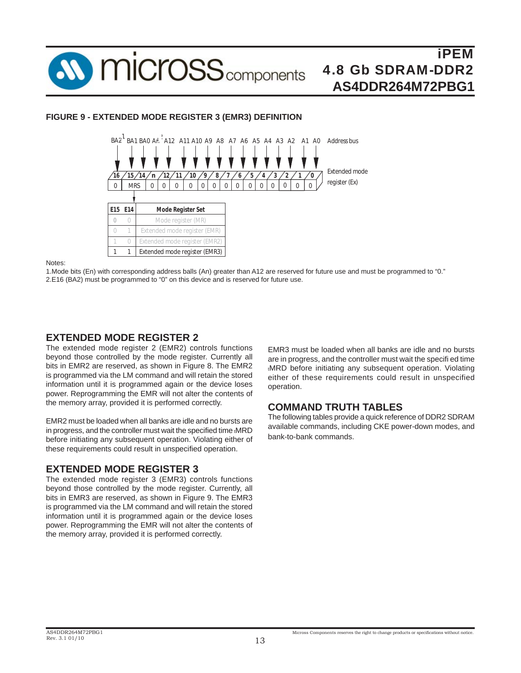

#### **FIGURE 9 - EXTENDED MODE REGISTER 3 (EMR3) DEFINITION**



Notes:

........<br>1.Mode bits (En) with corresponding address balls (An) greater than A12 are reserved for future use and must be programmed to "0." 2.E16 (BA2) must be programmed to "0" on this device and is reserved for future use.

#### **EXTENDED MODE REGISTER 2**

The extended mode register 2 (EMR2) controls functions beyond those controlled by the mode register. Currently all bits in EMR2 are reserved, as shown in Figure 8. The EMR2 is programmed via the LM command and will retain the stored information until it is programmed again or the device loses power. Reprogramming the EMR will not alter the contents of the memory array, provided it is performed correctly.

EMR2 must be loaded when all banks are idle and no bursts are in progress, and the controller must wait the specified time tMRD before initiating any subsequent operation. Violating either of these requirements could result in unspecified operation.

#### **EXTENDED MODE REGISTER 3**

The extended mode register 3 (EMR3) controls functions beyond those controlled by the mode register. Currently, all bits in EMR3 are reserved, as shown in Figure 9. The EMR3 is programmed via the LM command and will retain the stored information until it is programmed again or the device loses power. Reprogramming the EMR will not alter the contents of the memory array, provided it is performed correctly.

EMR3 must be loaded when all banks are idle and no bursts are in progress, and the controller must wait the specifi ed time tMRD before initiating any subsequent operation. Violating either of these requirements could result in unspecified operation.

#### **COMMAND TRUTH TABLES**

The following tables provide a quick reference of DDR2 SDRAM available commands, including CKE power-down modes, and bank-to-bank commands.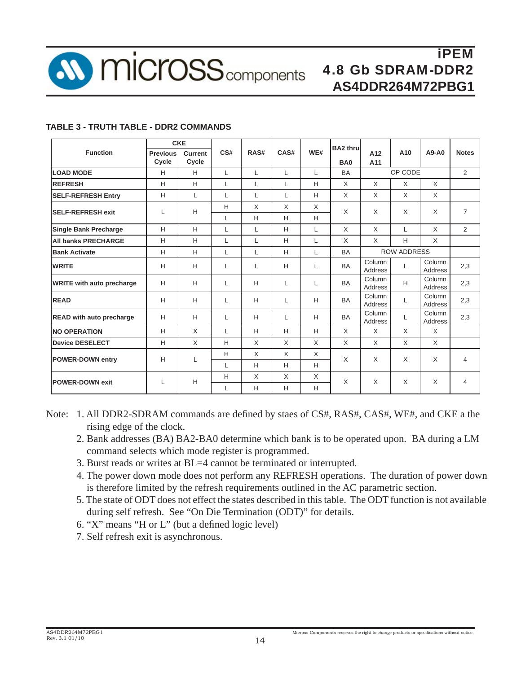

#### **TABLE 3 - TRUTH TABLE - DDR2 COMMANDS**

|                                  | <b>CKE</b>               |                  |     |          |      |     | <b>BA2 thru</b> |                    |         |                          |                |
|----------------------------------|--------------------------|------------------|-----|----------|------|-----|-----------------|--------------------|---------|--------------------------|----------------|
| <b>Function</b>                  | <b>Previous</b><br>Cycle | Current<br>Cycle | CS# | RAS#     | CAS# | WE# | BA <sub>0</sub> | A12<br>A11         | A10     | $A9-AO$                  | <b>Notes</b>   |
| <b>LOAD MODE</b>                 | H                        | H                | L   | L        | L    | L   | <b>BA</b>       |                    | OP CODE |                          | $\overline{2}$ |
| <b>REFRESH</b>                   | H                        | H                | L   | L        | L    | Н   | $\times$        | X                  | X       | $\times$                 |                |
| <b>SELF-REFRESH Entry</b>        | H                        | L                | L   | L        | L    | H   | $\times$        | X                  | X       | X                        |                |
| <b>SELF-REFRESH exit</b>         | L                        | H                | H   | $\times$ | X    | X   | $\times$        | X                  | X       | X                        | $\overline{7}$ |
|                                  |                          |                  | L   | H        | H    | H   |                 |                    |         |                          |                |
| <b>Single Bank Precharge</b>     | H                        | H                | L   | L        | н    | L   | $\mathsf{X}$    | X                  | L       | $\times$                 | $\overline{2}$ |
| <b>All banks PRECHARGE</b>       | H                        | H                | L   | L        | Н    | L   | X               | X                  | Н       | X                        |                |
| <b>Bank Activate</b>             | H                        | H                | L   | L        | н    | L   | <b>BA</b>       | <b>ROW ADDRESS</b> |         |                          |                |
| <b>WRITE</b>                     | H                        | Н                | L   | L        | н    | L   | <b>BA</b>       | Column<br>Address  | L       | Column<br><b>Address</b> | 2,3            |
| <b>WRITE with auto precharge</b> | H                        | Н                | L   | H        | L    | L   | <b>BA</b>       | Column<br>Address  | H       | Column<br>Address        | 2,3            |
| <b>READ</b>                      | H                        | Н                | L   | H        | L    | н   | <b>BA</b>       | Column<br>Address  | L       | Column<br>Address        | 2,3            |
| <b>READ with auto precharge</b>  | H                        | Н                | L   | H        | L    | н   | <b>BA</b>       | Column<br>Address  | L       | Column<br>Address        | 2,3            |
| <b>NO OPERATION</b>              | H                        | X                | L   | H        | H    | H   | $\times$        | X                  | X       | $\times$                 |                |
| <b>Device DESELECT</b>           | H                        | X                | Н   | X        | X    | X   | X               | X                  | X       | X                        |                |
| <b>POWER-DOWN entry</b>          | H                        | L                | H   | X        | X    | X   | X               | X                  | X       | X                        | 4              |
|                                  |                          |                  | L   | H        | H    | H   |                 |                    |         |                          |                |
| <b>POWER-DOWN exit</b>           | L                        | H                | H   | $\times$ | X    | X   | $\times$        | X                  | X       | X                        | 4              |
|                                  |                          |                  | L   | H        | н    | н   |                 |                    |         |                          |                |

- Note: 1. All DDR2-SDRAM commands are defined by staes of CS#, RAS#, CAS#, WE#, and CKE a the rising edge of the clock.
	- 2. Bank addresses (BA) BA2-BA0 determine which bank is to be operated upon. BA during a LM command selects which mode register is programmed.
	- 3. Burst reads or writes at BL=4 cannot be terminated or interrupted.
	- 4. The power down mode does not perform any REFRESH operations. The duration of power down is therefore limited by the refresh requirements outlined in the AC parametric section.
	- 5. The state of ODT does not effect the states described in this table. The ODT function is not available during self refresh. See "On Die Termination (ODT)" for details.
	- 6. "X" means "H or  $L$ " (but a defined logic level)
	- 7. Self refresh exit is asynchronous.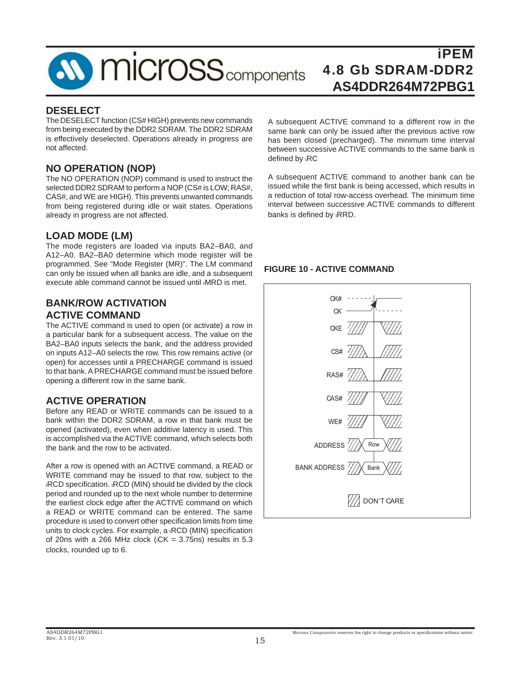

#### **DESELECT**

The DESELECT function (CS# HIGH) prevents new commands from being executed by the DDR2 SDRAM. The DDR2 SDRAM is effectively deselected. Operations already in progress are not affected.

#### **NO OPERATION (NOP)**

The NO OPERATION (NOP) command is used to instruct the selected DDR2 SDRAM to perform a NOP (CS# is LOW; RAS#, CAS#, and WE are HIGH). This prevents unwanted commands from being registered during idle or wait states. Operations already in progress are not affected.

#### **LOAD MODE (LM)**

The mode registers are loaded via inputs BA2–BA0, and A12–A0. BA2–BA0 determine which mode register will be programmed. See "Mode Register (MR)". The LM command can only be issued when all banks are idle, and a subsequent execute able command cannot be issued until tMRD is met.

#### **BANK/ROW ACTIVATION ACTIVE COMMAND**

The ACTIVE command is used to open (or activate) a row in a particular bank for a subsequent access. The value on the BA2–BA0 inputs selects the bank, and the address provided on inputs A12–A0 selects the row. This row remains active (or open) for accesses until a PRECHARGE command is issued to that bank. A PRECHARGE command must be issued before opening a different row in the same bank.

#### **ACTIVE OPERATION**

Before any READ or WRITE commands can be issued to a bank within the DDR2 SDRAM, a row in that bank must be opened (activated), even when additive latency is used. This is accomplished via the ACTIVE command, which selects both the bank and the row to be activated.

After a row is opened with an ACTIVE command, a READ or WRITE command may be issued to that row, subject to the tRCD specification. tRCD (MIN) should be divided by the clock period and rounded up to the next whole number to determine the earliest clock edge after the ACTIVE command on which a READ or WRITE command can be entered. The same procedure is used to convert other specification limits from time units to clock cycles. For example, a <sub>t</sub>RCD (MIN) specification of 20ns with a 266 MHz clock ( $t$ CK = 3.75ns) results in 5.3 clocks, rounded up to 6.

A subsequent ACTIVE command to a different row in the same bank can only be issued after the previous active row has been closed (precharged). The minimum time interval between successive ACTIVE commands to the same bank is defined by tRC

A subsequent ACTIVE command to another bank can be issued while the first bank is being accessed, which results in a reduction of total row-access overhead. The minimum time interval between successive ACTIVE commands to different banks is defined by tRRD.

#### **FIGURE 10 - ACTIVE COMMAND**

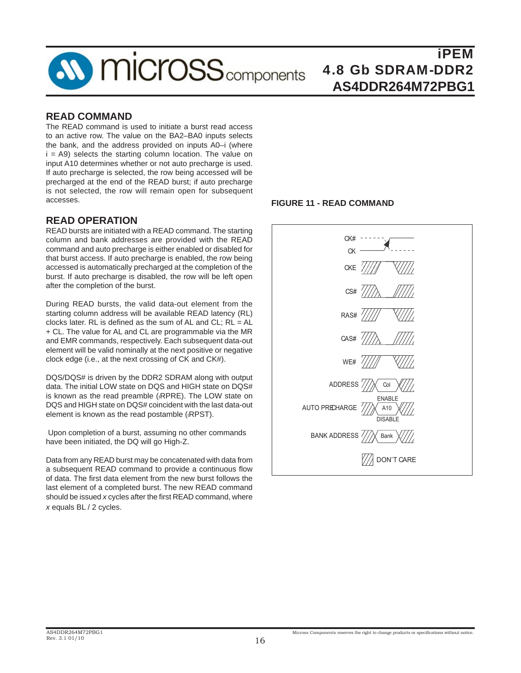

#### **READ COMMAND**

The READ command is used to initiate a burst read access to an active row. The value on the BA2–BA0 inputs selects the bank, and the address provided on inputs A0–i (where  $i = A9$ ) selects the starting column location. The value on input A10 determines whether or not auto precharge is used. If auto precharge is selected, the row being accessed will be precharged at the end of the READ burst; if auto precharge is not selected, the row will remain open for subsequent accesses.

#### **READ OPERATION**

READ bursts are initiated with a READ command. The starting column and bank addresses are provided with the READ command and auto precharge is either enabled or disabled for that burst access. If auto precharge is enabled, the row being accessed is automatically precharged at the completion of the burst. If auto precharge is disabled, the row will be left open after the completion of the burst.

During READ bursts, the valid data-out element from the starting column address will be available READ latency (RL) clocks later. RL is defined as the sum of AL and CL;  $RL = AL$ + CL. The value for AL and CL are programmable via the MR and EMR commands, respectively. Each subsequent data-out element will be valid nominally at the next positive or negative clock edge (i.e., at the next crossing of CK and CK#).

DQS/DQS# is driven by the DDR2 SDRAM along with output data. The initial LOW state on DQS and HIGH state on DQS# is known as the read preamble (RPRE). The LOW state on DQS and HIGH state on DQS# coincident with the last data-out element is known as the read postamble  $(EPST)$ .

 Upon completion of a burst, assuming no other commands have been initiated, the DQ will go High-Z.

Data from any READ burst may be concatenated with data from a subsequent READ command to provide a continuous flow of data. The first data element from the new burst follows the last element of a completed burst. The new READ command should be issued *x* cycles after the first READ command, where *x* equals BL / 2 cycles.

#### **FIGURE 11 - READ COMMAND**

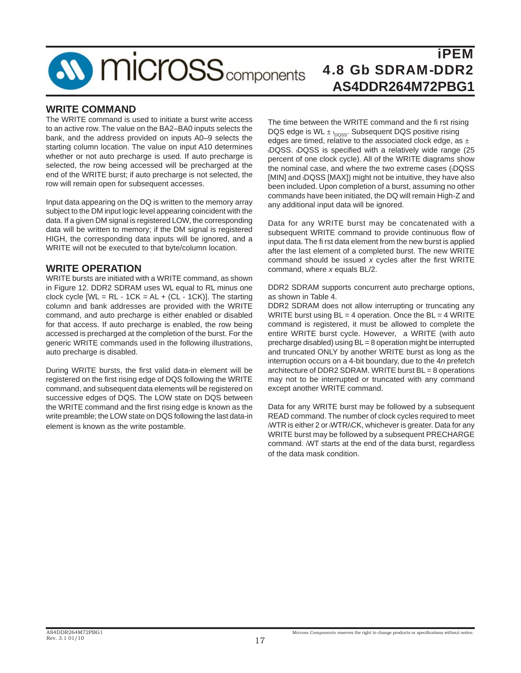## **SV MICroSS** components

## iPEM 4.8 Gb SDRAM-DDR2 **AS4DDR264M72PBG1**

#### **WRITE COMMAND**

The WRITE command is used to initiate a burst write access to an active row. The value on the BA2–BA0 inputs selects the bank, and the address provided on inputs A0–9 selects the starting column location. The value on input A10 determines whether or not auto precharge is used. If auto precharge is selected, the row being accessed will be precharged at the end of the WRITE burst; if auto precharge is not selected, the row will remain open for subsequent accesses.

Input data appearing on the DQ is written to the memory array subject to the DM input logic level appearing coincident with the data. If a given DM signal is registered LOW, the corresponding data will be written to memory; if the DM signal is registered HIGH, the corresponding data inputs will be ignored, and a WRITE will not be executed to that byte/column location.

#### **WRITE OPERATION**

WRITE bursts are initiated with a WRITE command, as shown in Figure 12. DDR2 SDRAM uses WL equal to RL minus one clock cycle  $[WL = RL - 1CK = AL + (CL - 1CK)]$ . The starting column and bank addresses are provided with the WRITE command, and auto precharge is either enabled or disabled for that access. If auto precharge is enabled, the row being accessed is precharged at the completion of the burst. For the generic WRITE commands used in the following illustrations, auto precharge is disabled.

During WRITE bursts, the first valid data-in element will be registered on the first rising edge of DQS following the WRITE command, and subsequent data elements will be registered on successive edges of DQS. The LOW state on DQS between the WRITE command and the first rising edge is known as the write preamble; the LOW state on DQS following the last data-in element is known as the write postamble.

The time between the WRITE command and the fi rst rising DQS edge is WL  $\pm$   $_{\text{bQSS}}$ . Subsequent DQS positive rising edges are timed, relative to the associated clock edge, as  $\pm$ tDQSS. tDQSS is specified with a relatively wide range (25 percent of one clock cycle). All of the WRITE diagrams show the nominal case, and where the two extreme cases (tDQSS [MIN] and tDQSS [MAX]) might not be intuitive, they have also been included. Upon completion of a burst, assuming no other commands have been initiated, the DQ will remain High-Z and any additional input data will be ignored.

Data for any WRITE burst may be concatenated with a subsequent WRITE command to provide continuous flow of input data. The fi rst data element from the new burst is applied after the last element of a completed burst. The new WRITE command should be issued x cycles after the first WRITE command, where *x* equals BL/2.

DDR2 SDRAM supports concurrent auto precharge options, as shown in Table 4.

DDR2 SDRAM does not allow interrupting or truncating any WRITE burst using  $BL = 4$  operation. Once the  $BL = 4$  WRITE command is registered, it must be allowed to complete the entire WRITE burst cycle. However, a WRITE (with auto precharge disabled) using BL = 8 operation might be interrupted and truncated ONLY by another WRITE burst as long as the interruption occurs on a 4-bit boundary, due to the 4*n* prefetch architecture of DDR2 SDRAM. WRITE burst BL = 8 operations may not to be interrupted or truncated with any command except another WRITE command.

Data for any WRITE burst may be followed by a subsequent READ command. The number of clock cycles required to meet tWTR is either 2 or tWTR/tCK, whichever is greater. Data for any WRITE burst may be followed by a subsequent PRECHARGE command. tWT starts at the end of the data burst, regardless of the data mask condition.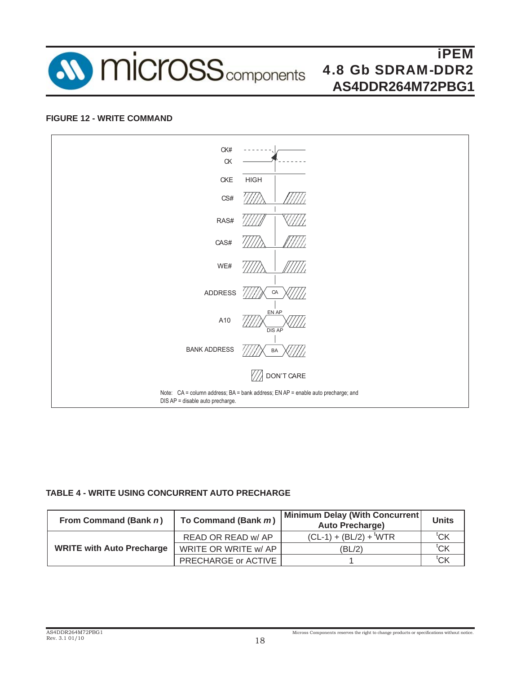

#### **FIGURE 12 - WRITE COMMAND**



#### **TABLE 4 - WRITE USING CONCURRENT AUTO PRECHARGE**

| From Command (Bank n)            | To Command (Bank m)  | Minimum Delay (With Concurrent)<br><b>Auto Precharge)</b> | <b>Units</b>     |
|----------------------------------|----------------------|-----------------------------------------------------------|------------------|
|                                  | READ OR READ w/ AP   | $(CL-1) + (BL/2) +$ <sup>t</sup> WTR                      | $^{\text{t}}$ CK |
| <b>WRITE with Auto Precharge</b> | WRITE OR WRITE w/ AP | (BL/2)                                                    | $^{\text{t}}$ CK |
|                                  | PRECHARGE or ACTIVE  |                                                           | 'CΚ              |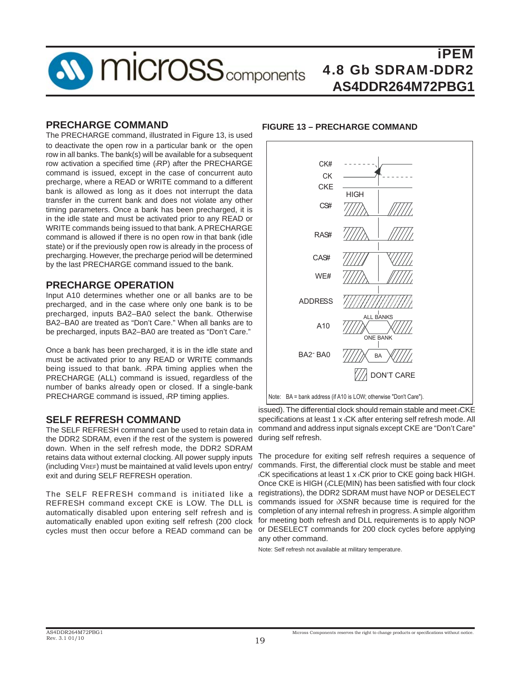

#### **PRECHARGE COMMAND**

The PRECHARGE command, illustrated in Figure 13, is used to deactivate the open row in a particular bank or the open row in all banks. The bank(s) will be available for a subsequent row activation a specified time (tRP) after the PRECHARGE command is issued, except in the case of concurrent auto precharge, where a READ or WRITE command to a different bank is allowed as long as it does not interrupt the data transfer in the current bank and does not violate any other timing parameters. Once a bank has been precharged, it is in the idle state and must be activated prior to any READ or WRITE commands being issued to that bank. A PRECHARGE command is allowed if there is no open row in that bank (idle state) or if the previously open row is already in the process of precharging. However, the precharge period will be determined by the last PRECHARGE command issued to the bank.

#### **PRECHARGE OPERATION**

Input A10 determines whether one or all banks are to be precharged, and in the case where only one bank is to be precharged, inputs BA2–BA0 select the bank. Otherwise BA2–BA0 are treated as "Don't Care." When all banks are to be precharged, inputs BA2–BA0 are treated as "Don't Care."

Once a bank has been precharged, it is in the idle state and must be activated prior to any READ or WRITE commands being issued to that bank. <sub>t</sub>RPA timing applies when the PRECHARGE (ALL) command is issued, regardless of the number of banks already open or closed. If a single-bank PRECHARGE command is issued, tRP timing applies.

#### **SELF REFRESH COMMAND**

The SELF REFRESH command can be used to retain data in the DDR2 SDRAM, even if the rest of the system is powered down. When in the self refresh mode, the DDR2 SDRAM retains data without external clocking. All power supply inputs (including VREF) must be maintained at valid levels upon entry/ exit and during SELF REFRESH operation.

The SELF REFRESH command is initiated like a REFRESH command except CKE is LOW. The DLL is automatically disabled upon entering self refresh and is automatically enabled upon exiting self refresh (200 clock

#### **FIGURE 13 – PRECHARGE COMMAND**



issued). The differential clock should remain stable and meet tCKE specifications at least 1 x tCK after entering self refresh mode. All command and address input signals except CKE are "Don't Care" during self refresh.

cycles must then occur before a READ command can be or DESELECT commands for 200 clock cycles before applying The procedure for exiting self refresh requires a sequence of commands. First, the differential clock must be stable and meet tCK specifications at least 1 x tCK prior to CKE going back HIGH. Once CKE is HIGH ((CLE(MIN) has been satisfied with four clock registrations), the DDR2 SDRAM must have NOP or DESELECT commands issued for **EXSNR** because time is required for the completion of any internal refresh in progress. A simple algorithm for meeting both refresh and DLL requirements is to apply NOP any other command.

Note: Self refresh not available at military temperature.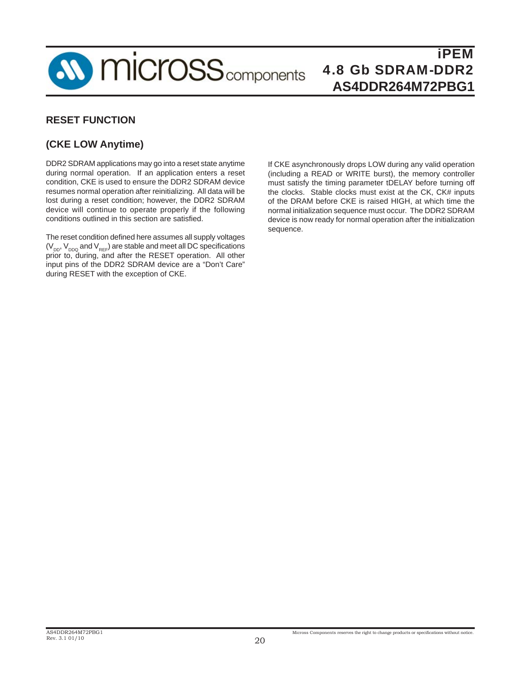

#### **RESET FUNCTION**

#### **(CKE LOW Anytime)**

DDR2 SDRAM applications may go into a reset state anytime during normal operation. If an application enters a reset condition, CKE is used to ensure the DDR2 SDRAM device resumes normal operation after reinitializing. All data will be lost during a reset condition; however, the DDR2 SDRAM device will continue to operate properly if the following conditions outlined in this section are satisfied.

The reset condition defined here assumes all supply voltages  $(V_{DD}, V_{DDQ}$  and  $V_{REF}$ ) are stable and meet all DC specifications prior to, during, and after the RESET operation. All other input pins of the DDR2 SDRAM device are a "Don't Care" during RESET with the exception of CKE.

If CKE asynchronously drops LOW during any valid operation (including a READ or WRITE burst), the memory controller must satisfy the timing parameter tDELAY before turning off the clocks. Stable clocks must exist at the CK, CK# inputs of the DRAM before CKE is raised HIGH, at which time the normal initialization sequence must occur. The DDR2 SDRAM device is now ready for normal operation after the initialization sequence.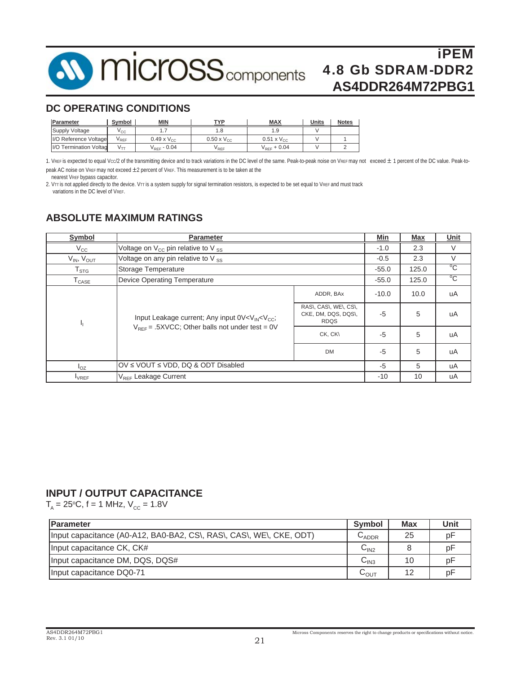

#### **DC OPERATING CONDITIONS**

| Parameter              | Symbol          | <b>MIN</b>           | TVD                  | <b>MAX</b>           | <b>Units</b> | <b>Notes</b> |
|------------------------|-----------------|----------------------|----------------------|----------------------|--------------|--------------|
| Supply Voltage         | V <sub>CC</sub> |                      | ı .o                 | 1.9                  |              |              |
| I/O Reference Voltage  | RFF <sup></sup> | $0.49 \times V_{CC}$ | $0.50 \times V_{CC}$ | $0.51 \times V_{CC}$ |              |              |
| I/O Termination Voltag | $V_{TT}$        | $V_{RFF}$ - 0.04     | V REF                | $V_{RFF}$ + 0.04     |              |              |

1. VREF is expected to equal Vcc/2 of the transmitting device and to track variations in the DC level of the same. Peak-to-peak noise on VREF may not exceed ± 1 percent of the DC value. Peak-topeak AC noise on VREF may not exceed  $\pm 2$  percent of VREF. This measurement is to be taken at the

nearest VREF bypass capacitor.

2. VTT is not applied directly to the device. VTT is a system supply for signal termination resistors, is expected to be set equal to VREF and must track variations in the DC level of VREF.

#### **ABSOLUTE MAXIMUM RATINGS**

| Symbol                       | <b>Parameter</b>                                                                                                                           |                                                             | Min     | <b>Max</b> | Unit         |
|------------------------------|--------------------------------------------------------------------------------------------------------------------------------------------|-------------------------------------------------------------|---------|------------|--------------|
| $V_{\rm CC}$                 | Voltage on V <sub>CC</sub> pin relative to V ss                                                                                            | $-1.0$                                                      | 2.3     | V          |              |
| $V_{IN}$ , $V_{OUT}$         | Voltage on any pin relative to $V_{\rm ss}$                                                                                                |                                                             | $-0.5$  | 2.3        | $\vee$       |
| ${\sf T}_{\text{STG}}$       | Storage Temperature                                                                                                                        |                                                             | $-55.0$ | 125.0      | $^{\circ}$ C |
| $\mathsf{T}_{\texttt{CASE}}$ | <b>Device Operating Temperature</b>                                                                                                        |                                                             | $-55.0$ | 125.0      | $^{\circ}C$  |
|                              |                                                                                                                                            | ADDR, BAx                                                   | $-10.0$ | 10.0       | uA           |
| ч                            | Input Leakage current; Any input 0V <v<sub>IN<v<sub>CC;<br/><math>V_{REF}</math> = .5XVCC; Other balls not under test = 0V</v<sub></v<sub> | RAS\, CAS\, WE\, CS\,<br>CKE, DM, DQS, DQS\,<br><b>RDQS</b> | $-5$    | 5          | uA           |
|                              |                                                                                                                                            | CK, CK\                                                     | $-5$    | 5          | uA           |
|                              |                                                                                                                                            | <b>DM</b>                                                   | $-5$    | 5          | uA           |
| $I_{OZ}$                     | OV ≤ VOUT ≤ VDD, DQ & ODT Disabled                                                                                                         | $-5$                                                        | 5       | uA         |              |
| <b>IVREF</b>                 | V <sub>REF</sub> Leakage Current                                                                                                           |                                                             | $-10$   | 10         | uA           |

#### **INPUT / OUTPUT CAPACITANCE**

 $T_{A}$  = 25°C, f = 1 MHz, V<sub>cc</sub> = 1.8V

| <b>Parameter</b>                                                    | <b>Symbol</b>               | <b>Max</b> | Unit |
|---------------------------------------------------------------------|-----------------------------|------------|------|
| Input capacitance (A0-A12, BA0-BA2, CS\, RAS\, CAS\, WE\, CKE, ODT) | $U$ ADDR                    | 25         | рF   |
| Input capacitance CK, CK#                                           | C <sub>IN2</sub>            |            | рF   |
| Input capacitance DM, DQS, DQS#                                     | $\mathsf{C}_{\mathsf{IN3}}$ | 10         | рF   |
| Input capacitance DQ0-71                                            | ৸০∪⊤                        | 12         | рF   |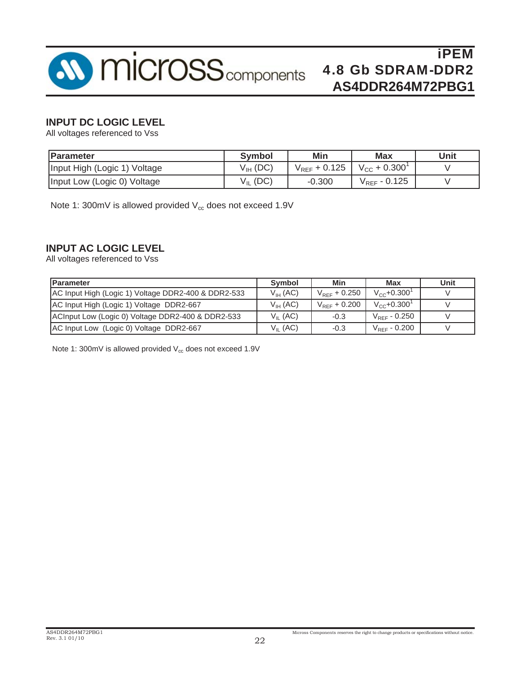

#### **INPUT DC LOGIC LEVEL**

All voltages referenced to Vss

| Parameter                    | <b>Symbol</b> | Min               | <b>Max</b>           | Unit |
|------------------------------|---------------|-------------------|----------------------|------|
| Input High (Logic 1) Voltage | $V_{IH}$ (DC) | $V_{RFF}$ + 0.125 | $V_{\rm CC}$ + 0.300 |      |
| Input Low (Logic 0) Voltage  | (DC)<br>Vп    | $-0.300$          | $V_{REF}$ - 0.125    |      |

Note 1: 300mV is allowed provided  $V_{cc}$  does not exceed 1.9V

#### **INPUT AC LOGIC LEVEL**

All voltages referenced to Vss

| <b>Parameter</b>                                    | Symbol        | Min               | Max                          | Unit |
|-----------------------------------------------------|---------------|-------------------|------------------------------|------|
| AC Input High (Logic 1) Voltage DDR2-400 & DDR2-533 | $V_{IH}$ (AC) | $V_{REF}$ + 0.250 | $V_{CC}$ +0.300 <sup>1</sup> |      |
| AC Input High (Logic 1) Voltage DDR2-667            | $V_{IH}$ (AC) | $V_{RFF}$ + 0.200 | $V_{cc}$ +0.300 $^{\circ}$   |      |
| ACInput Low (Logic 0) Voltage DDR2-400 & DDR2-533   | $V_{II}$ (AC) | $-0.3$            | $V_{\text{REF}}$ - 0.250     |      |
| AC Input Low (Logic 0) Voltage DDR2-667             | $V_{II}$ (AC) | $-0.3$            | $V_{REF}$ - 0.200            |      |

Note 1: 300mV is allowed provided  $V_{cc}$  does not exceed 1.9V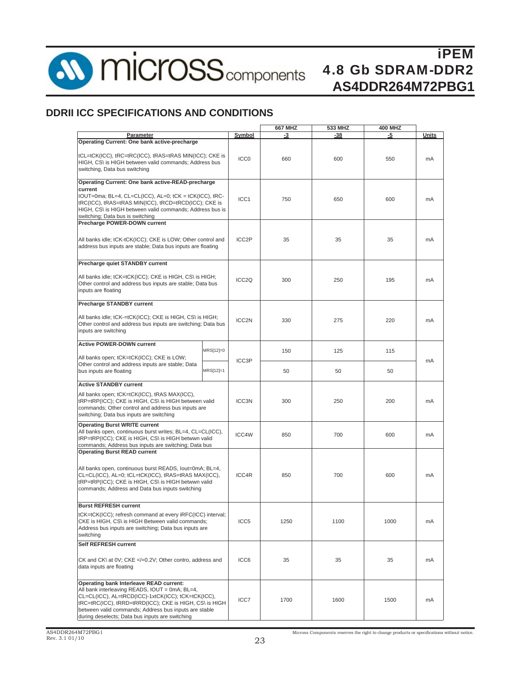

**10 micross** components

iPEM 4.8 Gb SDRAM-DDR2 **AS4DDR264M72PBG1**

#### **DDRII ICC SPECIFICATIONS AND CONDITIONS**

|                                                                                                                                                                                                                                                                                                                              |  |                    | 667 MHZ | 533 MHZ    | <b>400 MHZ</b> |       |  |
|------------------------------------------------------------------------------------------------------------------------------------------------------------------------------------------------------------------------------------------------------------------------------------------------------------------------------|--|--------------------|---------|------------|----------------|-------|--|
| Parameter                                                                                                                                                                                                                                                                                                                    |  | Symbol             | -3      | -38        | -5             | Units |  |
| Operating Current: One bank active-precharge<br>tCL=tCK(ICC), tRC=tRC(ICC), tRAS=tRAS MIN(ICC); CKE is<br>HIGH, CS\ is HIGH between valid commands; Address bus<br>switching, Data bus switching                                                                                                                             |  | ICC <sub>0</sub>   | 660     | 600        | 550            | mA    |  |
| Operating Current: One bank active-READ-precharge<br>current<br>IOUT=0ma; BL=4, CL=CL(ICC), AL=0; tCK = tCK(ICC), tRC-<br>tRC(ICC), tRAS=tRAS MIN(ICC), tRCD=tRCD(ICC); CKE is<br>HIGH, CS\ is HIGH between valid commands; Address bus is<br>switching: Data bus is switching                                               |  | ICC1               | 750     | 650        | 600            | mA    |  |
| Precharge POWER-DOWN current<br>All banks idle; tCK-tCK(ICC); CKE is LOW; Other control and<br>address bus inputs are stable; Data bus inputs are floating                                                                                                                                                                   |  | ICC <sub>2</sub> P | 35      | 35         | 35             | mA    |  |
| Precharge quiet STANDBY current<br>All banks idle; tCK=tCK(ICC); CKE is HIGH, CS\ is HIGH;<br>Other control and address bus inputs are stable; Data bus<br>inputs are floating                                                                                                                                               |  | ICC <sub>2Q</sub>  | 300     | 250        | 195            | mA    |  |
| Precharge STANDBY current<br>All banks idle; tCK-=tCK(ICC); CKE is HIGH, CS\ is HIGH;<br>Other control and address bus inputs are switching; Data bus<br>inputs are switching                                                                                                                                                |  | ICC2N              | 330     | 275<br>220 |                | mA    |  |
| <b>Active POWER-DOWN current</b><br>MRS[12]=0<br>All banks open; tCK=tCK(ICC); CKE is LOW;<br>Other control and address inputs are stable; Data<br>bus inputs are floating<br>MRS[12]=1                                                                                                                                      |  | ICC3P              | 150     | 125        | 115            |       |  |
|                                                                                                                                                                                                                                                                                                                              |  |                    | 50      | 50         | 50             | mA    |  |
| <b>Active STANDBY current</b>                                                                                                                                                                                                                                                                                                |  |                    |         |            |                |       |  |
| All banks open; tCK=tCK(ICC), tRAS MAX(ICC),<br>tRP=tRP(ICC); CKE is HIGH, CS\ is HIGH between valid<br>commands; Other control and address bus inputs are<br>switching; Data bus inputs are switching                                                                                                                       |  | ICC3N              | 300     | 250        | 200            | mA    |  |
| <b>Operating Burst WRITE current</b><br>All banks open, continuous burst writes; BL=4, CL=CL(ICC),<br>tRP=tRP(ICC); CKE is HIGH, CS\ is HIGH betwwn valid<br>commands; Address bus inputs are switching; Data bus                                                                                                            |  | ICC4W              | 850     | 700        | 600            | mA    |  |
| <b>Operating Burst READ current</b><br>All banks open, continuous burst READS, lout=0mA; BL=4,<br>CL=CL(ICC), AL=0; tCL=tCK(ICC), tRAS=tRAS MAX(ICC),<br>tRP=tRP(ICC); CKE is HIGH, CS\ is HIGH betwwn valid<br>commands; Address and Data bus inputs switching                                                              |  | ICC4R              | 850     | 700        | 600            | mA    |  |
| <b>Burst REFRESH current</b><br>tCK=tCK(ICC); refresh command at every iRFC(ICC) interval;<br>CKE is HIGH, CS\ is HIGH Between valid commands;<br>Address bus inputs are switching; Data bus inputs are<br>switching                                                                                                         |  | ICC <sub>5</sub>   | 1250    | 1100       | 1000           | mA    |  |
| Self REFRESH current<br>CK and CK\ at 0V; CKE =0.2V; Other contro, address and<br data inputs are floating                                                                                                                                                                                                                   |  | ICC6               | 35      | 35         | 35             | mA    |  |
| <b>Operating bank Interleave READ current:</b><br>All bank interleaving READS, IOUT = 0mA; BL=4,<br>CL=CL(ICC), AL=tRCD(ICC)-1xtCK(ICC); tCK=tCK(ICC),<br>tRC=tRC(ICC), tRRD=tRRD(ICC); CKE is HIGH, CS\ is HIGH<br>between valid commands; Address bus inputs are stable<br>during deselects; Data bus inputs are switching |  | ICC7               | 1700    | 1600       | 1500           | mA    |  |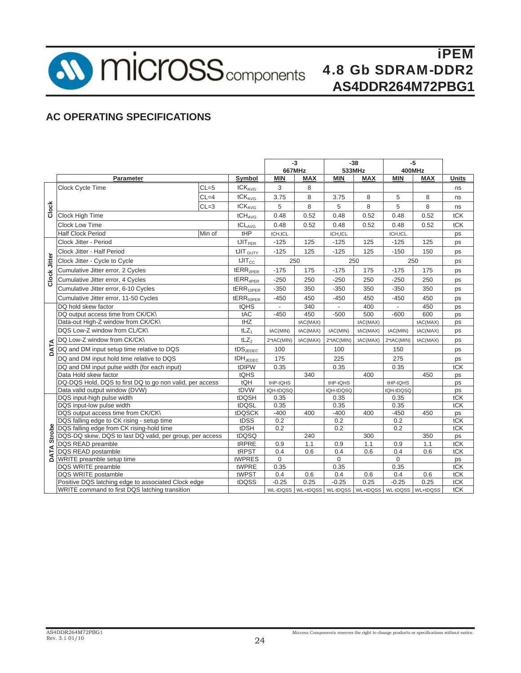**10 micross** components

iPEM 4.8 Gb SDRAM-DDR2 **AS4DDR264M72PBG1**

### **AC OPERATING SPECIFICATIONS**

|                |                                                          |          |                       | $-3$                     |            | $-38$                                                 |            | $-5$       |            |              |
|----------------|----------------------------------------------------------|----------|-----------------------|--------------------------|------------|-------------------------------------------------------|------------|------------|------------|--------------|
|                |                                                          |          |                       | 667MHz                   |            | 533MHz                                                |            |            | 400MHz     |              |
|                | Parameter                                                |          | Symbol                | <b>MIN</b>               | <b>MAX</b> | <b>MIN</b>                                            | <b>MAX</b> | <b>MIN</b> | <b>MAX</b> | <b>Units</b> |
|                | Clock Cycle Time                                         | $CL = 5$ | $tCK_{AVG}$           | 3                        | 8          |                                                       |            |            |            | ns           |
|                |                                                          | $CL=4$   | tCK <sub>AVG</sub>    | 3.75                     | 8          | 3.75                                                  | 8          | 5          | 8          | ns           |
| Clock          |                                                          | $CL = 3$ | tCK <sub>AVG</sub>    | 5                        | 8          | 5                                                     | 8          | 5          | 8          | ns           |
|                | <b>Clock High Time</b>                                   |          | $tCH_{AVG}$           | 0.48                     | 0.52       | 0.48                                                  | 0.52       | 0.48       | 0.52       | tCK          |
|                | <b>Clock Low Time</b>                                    |          | tCL <sub>AVG</sub>    | 0.48                     | 0.52       | 0.48                                                  | 0.52       | 0.48       | 0.52       | tCK          |
|                | <b>Half Clock Period</b>                                 | Min of   | tHP                   | tCH,tCL                  |            | tCH,tCL                                               |            | tCH,tCL    |            | ps           |
|                | Clock Jitter - Period                                    |          | tJIT <sub>PER</sub>   | $-125$                   | 125        | $-125$                                                | 125        | $-125$     | 125        | ps           |
|                | Clock Jitter - Half Period                               |          | $t$ JIT $_{DUTY}$     | $-125$                   | 125        | $-125$                                                | 125        | $-150$     | 150        | ps           |
| Clock Jitter   | Clock Jitter - Cycle to Cycle                            |          | $t$ JIT $_{\rm CC}$   | 250                      |            |                                                       | 250        |            | 250        | ps           |
|                | Cumulative Jitter error, 2 Cycles                        |          | tERR <sub>2PER</sub>  | $-175$                   | 175        | $-175$                                                | 175        | $-175$     | 175        | ps           |
|                | Cumulative Jitter error, 4 Cycles                        |          | tERR <sub>4PER</sub>  | $-250$                   | 250        | $-250$                                                | 250        | $-250$     | 250        | ps           |
|                | Cumulative Jitter error, 6-10 Cycles                     |          | tERR <sub>10PER</sub> | $-350$                   | 350        | $-350$                                                | 350        | $-350$     | 350        | ps           |
|                | Cumulative Jitter error, 11-50 Cycles                    |          | tERR <sub>50PER</sub> | $-450$                   | 450        | $-450$                                                | 450        | $-450$     | 450        | ps           |
|                | DQ hold skew factor                                      |          | tQHS                  | $\overline{\phantom{a}}$ | 340        |                                                       | 400        |            | 450        | ps           |
|                | DQ output access time from CK/CK\                        |          | tAC                   | $-450$                   | 450        | $-500$                                                | 500        | $-600$     | 600        | ps           |
|                | Data-out High-Z window from CK/CK\                       |          | tHZ                   |                          | tAC(MAX)   |                                                       | tAC(MAX)   |            | tAC(MAX)   | ps           |
|                | DQS Low-Z window from CL/CK\                             |          | $tLZ_1$               | tAC(MIN)                 | tAC(MAX)   | tAC(MIN)                                              | tAC(MAX)   | tAC(MIN)   | tAC(MAX)   | ps           |
|                | DQ Low-Z window from CK/CK\                              |          | $tLZ$ <sub>2</sub>    | 2*tAC(MIN)               | tAC(MAX)   | 2*tAC(MIN)                                            | tAC(MAX)   | 2*tAC(MIN) | tAC(MAX)   | ps           |
| DATA           | DQ and DM input setup time relative to DQS               |          | $tDS$ JEDEC           | 100                      |            | 100                                                   |            | 150        |            | ps           |
|                | DQ and DM input hold time relative to DQS                |          | $tDH_{JEDEC}$         | 175                      |            | 225                                                   |            | 275        |            | ps           |
|                | DQ and DM input pulse width (for each input)             |          | tDIPW                 | 0.35                     |            | 0.35                                                  |            | 0.35       |            | tCK          |
|                | Data Hold skew factor                                    |          | tQHS                  |                          | 340        |                                                       | 400        |            | 450        | ps           |
|                | DQ-DQS Hold, DQS to first DQ to go non valid, per access |          | tQH                   | tHP-tQHS                 |            | tHP-tQHS                                              |            | tHP-tQHS   |            | ps           |
|                | Data valid output window (DVW)                           |          | tDVW                  | tQH-tDQSQ                |            | tQH-tDQSQ                                             |            | tQH-tDQSQ  |            | ps           |
|                | DQS input-high pulse width                               |          | tDQSH                 | 0.35                     |            | 0.35                                                  |            | 0.35       |            | tCK          |
|                | DQS input-low pulse width                                |          | tDQSL                 | 0.35                     |            | 0.35                                                  |            | 0.35       |            | tCK          |
|                | DQS output access time from CK/CK\                       |          | tDQSCK                | $-400$                   | 400        | $-400$                                                | 400        | $-450$     | 450        | ps           |
|                | DQS falling edge to CK rising - setup time               |          | tDSS                  | 0.2                      |            | 0.2                                                   |            | 0.2        |            | tCK          |
|                | DQS falling edge from CK rising-hold time                |          | tDSH                  | 0.2                      |            | 0.2                                                   |            | 0.2        |            | tCK          |
| Strobe<br>DATA | DQS-DQ skew, DQS to last DQ valid, per group, per access |          | tDQSQ                 |                          | 240        |                                                       | 300        |            | 350        | ps           |
|                | DQS READ preamble                                        |          | tRPRE                 | 0.9                      | 1.1        | 0.9                                                   | 1.1        | 0.9        | 1.1        | tCK          |
|                | DQS READ postamble                                       |          | tRPST                 | 0.4                      | 0.6        | 0.4                                                   | 0.6        | 0.4        | 0.6        | tCK          |
|                | WRITE preamble setup time                                |          | tWPRES                | 0                        |            | $\mathbf 0$                                           |            | 0          |            | ps           |
|                | DQS WRITE preamble                                       |          | tWPRE                 | 0.35                     |            | 0.35                                                  |            | 0.35       |            | tCK          |
|                | DQS WRITE postamble                                      |          | tWPST                 | 0.4                      | 0.6        | 0.4                                                   | 0.6        | 0.4        | 0.6        | tCK          |
|                | Positive DQS latching edge to associated Clock edge      |          | tDQSS                 | $-0.25$                  | 0.25       | $-0.25$                                               | 0.25       | $-0.25$    | 0.25       | tCK          |
|                | WRITE command to first DQS latching transition           |          |                       |                          |            | WL-tDQSS WL+tDQSS WL-tDQSS WL+tDQSS WL-tDQSS WL+tDQSS |            |            |            | tCK          |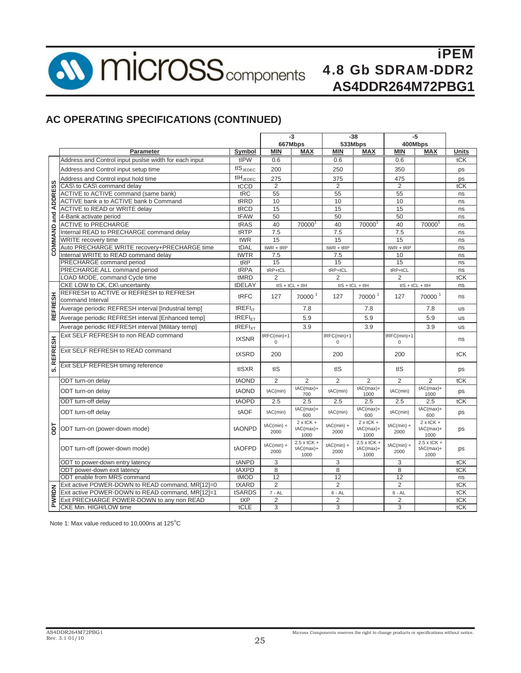

### **AC OPERATING SPECIFICATIONS (CONTINUED)**

|                |                                                       |                        | $-3$                    |                                            | $-38$                   |                                           |                         | $-5$                                      |           |
|----------------|-------------------------------------------------------|------------------------|-------------------------|--------------------------------------------|-------------------------|-------------------------------------------|-------------------------|-------------------------------------------|-----------|
|                |                                                       |                        | 667Mbps                 |                                            | 533Mbps                 |                                           | 400Mbps                 |                                           |           |
|                | Parameter                                             | Symbol                 | <b>MIN</b>              | <b>MAX</b>                                 | <b>MIN</b>              | <b>MAX</b>                                | <b>MIN</b>              | <b>MAX</b>                                | Units     |
|                | Address and Control input pusise width for each input | tIPW                   | 0.6                     |                                            | 0.6                     |                                           | 0.6                     |                                           | tCK       |
|                | Address and Control input setup time                  | $tIS$ <sub>JEDEC</sub> | 200                     |                                            | 250                     |                                           | 350                     |                                           | ps        |
|                | Address and Control input hold time                   | $tH_{\text{JEDEC}}$    | 275                     |                                            | 375                     |                                           | 475                     |                                           | ps        |
| <b>ADDRESS</b> | CAS\ to CAS\ command delay                            | tCCD                   | $\overline{2}$          |                                            | $\overline{2}$          |                                           | $\overline{2}$          |                                           | tCK       |
|                | ACTIVE to ACTIVE command (same bank)                  | tRC                    | 55                      |                                            | 55                      |                                           | 55                      |                                           | ns        |
|                | ACTIVE bank a to ACTIVE bank b Command                | tRRD                   | 10                      |                                            | 10                      |                                           | 10                      |                                           | ns        |
|                | <b>ACTIVE to READ or WRITE delay</b>                  | tRCD                   | 15                      |                                            | 15                      |                                           | 15                      |                                           | ns        |
| and            | 4-Bank activate period                                | tFAW                   | 50                      |                                            | 50                      |                                           | 50                      |                                           | ns        |
|                | <b>ACTIVE to PRECHARGE</b>                            | tRAS                   | 40                      | 70000 <sup>1</sup>                         | 40                      | 70000 <sup>1</sup>                        | 40                      | 70000                                     | ns        |
| COMMAND        | Internal READ to PRECHARGE command delay              | tRTP                   | 7.5                     |                                            | 7.5                     |                                           | 7.5                     |                                           | ns        |
|                | <b>WRITE</b> recovery time                            | tWR                    | 15                      |                                            | 15                      |                                           | 15                      |                                           | ns        |
|                | Auto PRECHARGE WRITE recovery+PRECHARGE time          | tDAL                   | $tWR + tRP$             |                                            | $tWR + tRP$             |                                           | $tWR + tRP$             |                                           | ns        |
|                | Internal WRITE to READ command delay                  | tWTR                   | 7.5                     |                                            | 7.5                     |                                           | 10                      |                                           | ns        |
|                | PRECHARGE command period                              | tRP                    | 15                      |                                            | 15                      |                                           | 15                      |                                           | ns        |
|                | PRECHARGE ALL command period                          | tRPA                   | $tRP+tCL$               |                                            | $tRP+tCL$               |                                           | tRP+tCL                 |                                           | ns        |
|                | LOAD MODE, command Cycle time                         | tMRD                   | $\overline{2}$          |                                            | $\overline{2}$          |                                           | $\overline{2}$          |                                           | tCK       |
|                | CKE LOW to CK, CK\ uncertainty                        | tDELAY                 | $tIS + tCL + tIH$       |                                            | $tIS + tCL + tIH$       |                                           | $tIS + tCL + tIH$       |                                           | ns        |
|                | REFRESH to ACTIVE or REFRESH to REFRESH               | tRFC                   | 127                     | 70000 <sup>1</sup>                         | 127                     | 70000 <sup>1</sup>                        | 127                     | 70000 <sup>1</sup>                        | ns        |
|                | command Interval                                      |                        |                         |                                            |                         |                                           |                         |                                           |           |
| <b>REFRESH</b> | Average periodic REFRESH interval [Industrial temp]   | tREFI <sub>IT</sub>    |                         | 7.8                                        |                         | 7.8                                       |                         | 7.8                                       | <b>us</b> |
|                | Average periodic REFRESH interval [Enhanced temp]     | tREFI <sub>ET</sub>    |                         | 5.9                                        |                         | 5.9                                       |                         | 5.9                                       | us        |
|                | Average periodic REFRESH interval [Military temp]     | tREFI <sub>XT</sub>    |                         | 3.9                                        |                         | 3.9                                       |                         | 3.9                                       | <b>us</b> |
|                | Exit SELF REFRESH to non READ command                 | tXSNR                  | tRFC(min)+1<br>$\Omega$ |                                            | tRFC(min)+1<br>$\Omega$ |                                           | tRFC(min)+1<br>$\Omega$ |                                           | ns        |
| <b>REFRESH</b> | Exit SELF REFRESH to READ command                     | tXSRD                  | 200                     |                                            | 200                     |                                           | 200                     |                                           | tCK       |
| <b>vi</b>      | Exit SELF REFRESH timing reference                    | tISXR                  | tIS                     |                                            | tIS                     |                                           | tIS                     |                                           | ps        |
|                | ODT turn-on delay                                     | tAOND                  | $\overline{2}$          | $\overline{2}$                             | $\overline{2}$          | $\overline{2}$                            | $\overline{2}$          | $\overline{2}$                            | tCK       |
|                | ODT turn-on delay                                     | tAOND                  | tAC(min)                | $tAC(max)+$<br>700                         | tAC(min)                | $tAC(max)+$<br>1000                       | tAC(min)                | $tAC(max)+$<br>1000                       | ps        |
|                | ODT turn-off delay                                    | tAOPD                  | 2.5                     | 2.5                                        | 2.5                     | 2.5                                       | 2.5                     | 2.5                                       | tCK       |
|                | ODT turn-off delay                                    | tAOF                   | tAC(min)                | $tAC(max) +$<br>600                        | tAC(min)                | $tAC(max)+$<br>600                        | tAC(min)                | $tAC(max)+$<br>600                        | ps        |
| ōр             | ODT turn-on (power-down mode)                         | tAONPD                 | $tAC(min) +$<br>2000    | $2 \times tCK +$<br>$tAC(max) +$<br>1000   | $tAC(min) +$<br>2000    | $2x$ tCK +<br>$tAC(max)+$<br>1000         | $tAC(min) +$<br>2000    | $2 \times tCK +$<br>$tAC(max)+$<br>1000   | ps        |
|                | ODT turn-off (power-down mode)                        | tAOFPD                 | $tAC(min) +$<br>2000    | $2.5 \times tCK +$<br>$tAC(max) +$<br>1000 | $tAC(min) +$<br>2000    | $2.5 \times tCK +$<br>$tAC(max)+$<br>1000 | $tAC(min) +$<br>2000    | $2.5 \times tCK +$<br>$tAC(max)+$<br>1000 | ps        |
|                | ODT to power-down entry latency                       | tANPD                  | 3                       |                                            | 3                       |                                           | 3                       |                                           | tCK       |
|                | ODT power-down exit latency                           | tAXPD                  | 8                       |                                            | 8                       |                                           | 8                       |                                           | tCK       |
|                | ODT enable from MRS command                           | tMOD                   | 12                      |                                            | 12                      |                                           | 12                      |                                           | ns        |
|                | Exit active POWER-DOWN to READ command, MR[12]=0      | tXARD                  | $\overline{2}$          |                                            | $\overline{2}$          |                                           | $\overline{2}$          |                                           | tCK       |
|                | Exit active POWER-DOWN to READ command, MR[12]=1      | tSARDS                 | $7 - AL$                |                                            | $6 - AL$                |                                           | $6 - AL$                |                                           | tCK       |
| <b>PWRDN</b>   | Exit PRECHARGE POWER-DOWN to any non READ             | tXP                    | $\overline{2}$          |                                            | $\overline{2}$          |                                           | 2                       |                                           | tCK       |
|                | CKE Min. HIGH/LOW time                                | tCLE                   | 3                       |                                            | 3                       |                                           | 3                       |                                           | tCK       |

Note 1: Max value reduced to 10,000ns at  $125^{\circ}$ C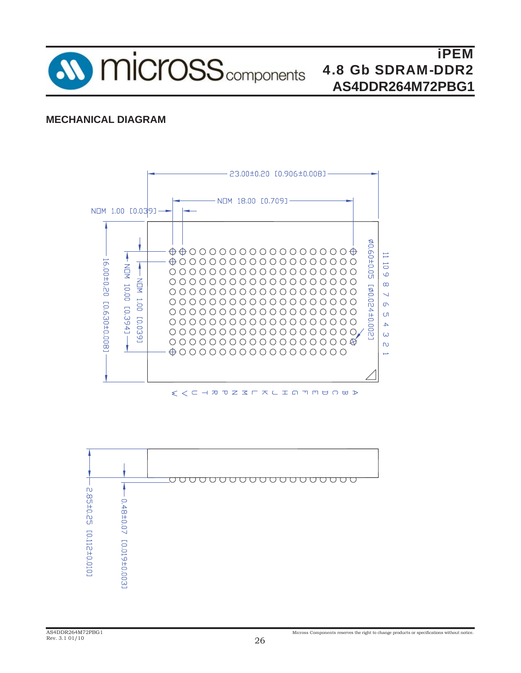

#### **MECHANICAL DIAGRAM**



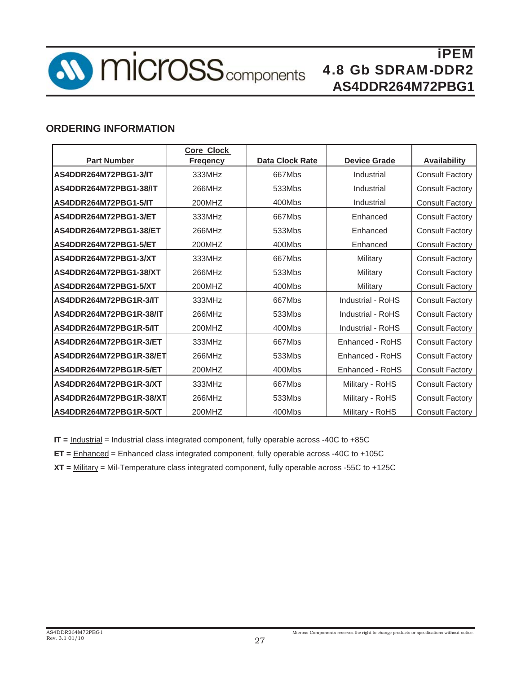

#### **ORDERING INFORMATION**

|                         | <b>Core Clock</b> |                        |                     |                        |
|-------------------------|-------------------|------------------------|---------------------|------------------------|
| <b>Part Number</b>      | <b>Fregency</b>   | <b>Data Clock Rate</b> | <b>Device Grade</b> | <b>Availability</b>    |
| AS4DDR264M72PBG1-3/IT   | 333MHz            | 667Mbs                 | Industrial          | <b>Consult Factory</b> |
| AS4DDR264M72PBG1-38/IT  | 266MHz            | 533Mbs                 | Industrial          | <b>Consult Factory</b> |
| AS4DDR264M72PBG1-5/IT   | 200MHZ            | 400Mbs                 | Industrial          | <b>Consult Factory</b> |
| AS4DDR264M72PBG1-3/ET   | 333MHz            | 667Mbs                 | Enhanced            | <b>Consult Factory</b> |
| AS4DDR264M72PBG1-38/ET  | 266MHz            | 533Mbs                 | Enhanced            | <b>Consult Factory</b> |
| AS4DDR264M72PBG1-5/ET   | 200MHZ            | 400Mbs                 | Enhanced            | <b>Consult Factory</b> |
| AS4DDR264M72PBG1-3/XT   | 333MHz            | 667Mbs                 | Military            | <b>Consult Factory</b> |
| AS4DDR264M72PBG1-38/XT  | 266MHz            | 533Mbs                 | Military            | <b>Consult Factory</b> |
| AS4DDR264M72PBG1-5/XT   | 200MHZ            | 400Mbs                 | Military            | <b>Consult Factory</b> |
| AS4DDR264M72PBG1R-3/IT  | 333MHz            | 667Mbs                 | Industrial - RoHS   | <b>Consult Factory</b> |
| AS4DDR264M72PBG1R-38/IT | 266MHz            | 533Mbs                 | Industrial - RoHS   | <b>Consult Factory</b> |
| AS4DDR264M72PBG1R-5/IT  | 200MHZ            | 400Mbs                 | Industrial - RoHS   | <b>Consult Factory</b> |
| AS4DDR264M72PBG1R-3/ET  | 333MHz            | 667Mbs                 | Enhanced - RoHS     | <b>Consult Factory</b> |
| AS4DDR264M72PBG1R-38/ET | 266MHz            | 533Mbs                 | Enhanced - RoHS     | <b>Consult Factory</b> |
| AS4DDR264M72PBG1R-5/ET  | 200MHZ            | 400Mbs                 | Enhanced - RoHS     | <b>Consult Factory</b> |
| AS4DDR264M72PBG1R-3/XT  | 333MHz            | 667Mbs                 | Military - RoHS     | <b>Consult Factory</b> |
| AS4DDR264M72PBG1R-38/XT | 266MHz            | 533Mbs                 | Military - RoHS     | <b>Consult Factory</b> |
| AS4DDR264M72PBG1R-5/XT  | 200MHZ            | 400Mbs                 | Military - RoHS     | <b>Consult Factory</b> |

**IT = Industrial = Industrial class integrated component, fully operable across -40C to +85C** 

**ET =** Enhanced = Enhanced class integrated component, fully operable across -40C to +105C

**XT =** Military = Mil-Temperature class integrated component, fully operable across -55C to +125C